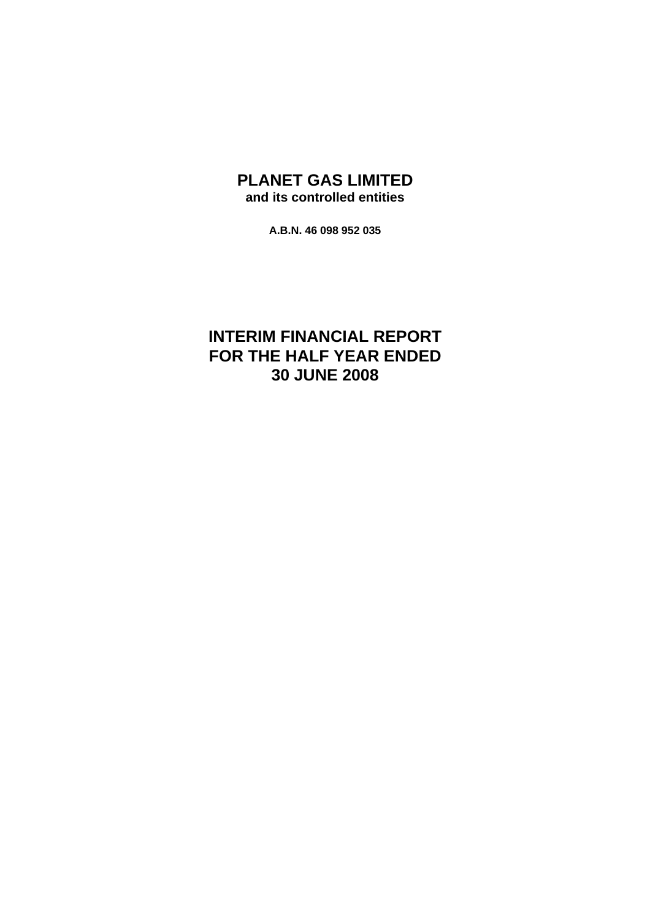# **PLANET GAS LIMITED and its controlled entities**

**A.B.N. 46 098 952 035** 

# **INTERIM FINANCIAL REPORT FOR THE HALF YEAR ENDED 30 JUNE 2008**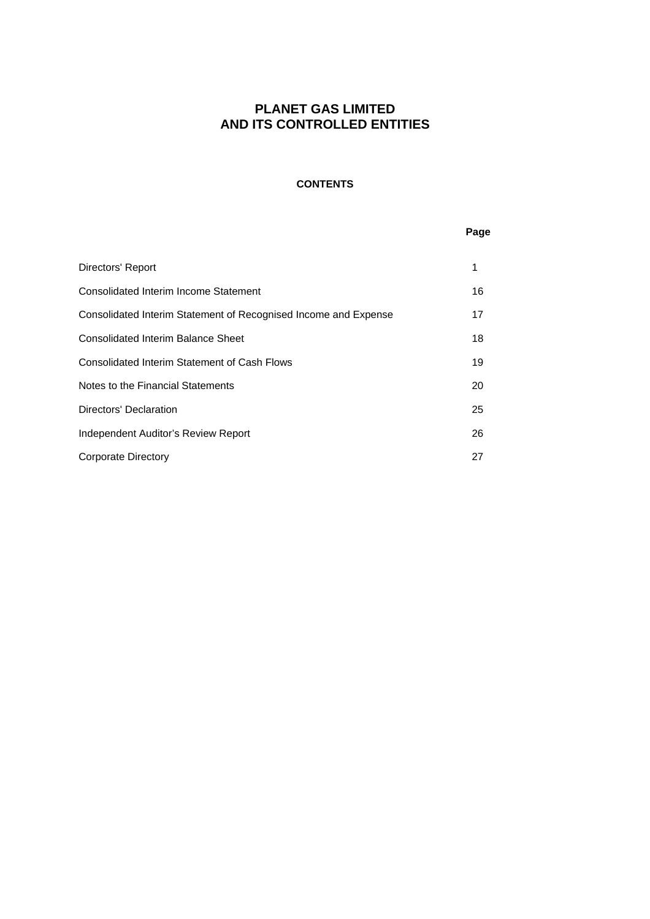### **CONTENTS**

### **Page**

| Directors' Report                                               | 1  |
|-----------------------------------------------------------------|----|
| Consolidated Interim Income Statement                           | 16 |
| Consolidated Interim Statement of Recognised Income and Expense | 17 |
| Consolidated Interim Balance Sheet                              | 18 |
| Consolidated Interim Statement of Cash Flows                    | 19 |
| Notes to the Financial Statements                               | 20 |
| Directors' Declaration                                          | 25 |
| Independent Auditor's Review Report                             | 26 |
| <b>Corporate Directory</b>                                      | 27 |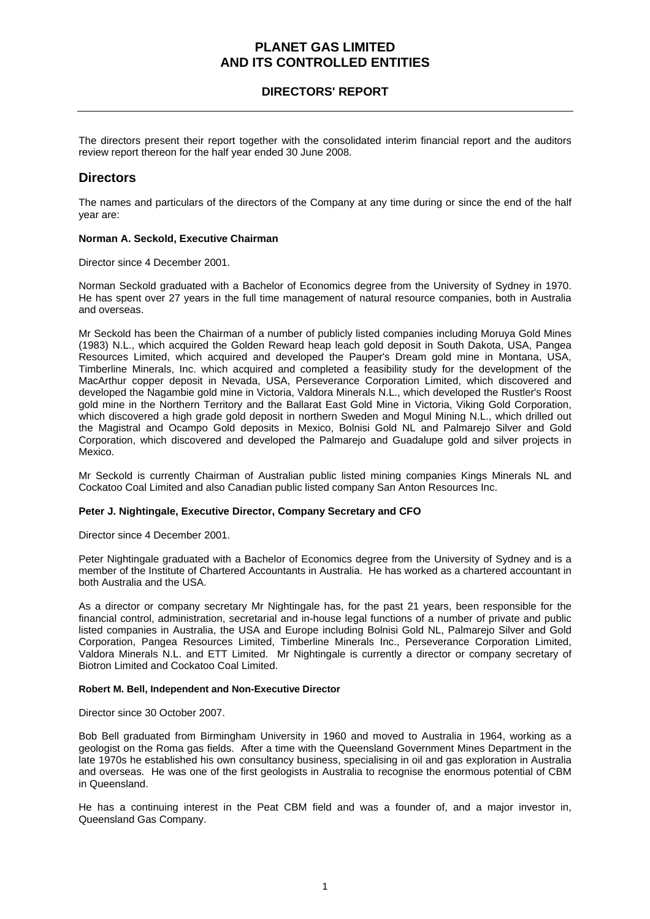## **DIRECTORS' REPORT**

The directors present their report together with the consolidated interim financial report and the auditors review report thereon for the half year ended 30 June 2008.

### **Directors**

The names and particulars of the directors of the Company at any time during or since the end of the half year are:

### **Norman A. Seckold, Executive Chairman**

Director since 4 December 2001.

Norman Seckold graduated with a Bachelor of Economics degree from the University of Sydney in 1970. He has spent over 27 years in the full time management of natural resource companies, both in Australia and overseas.

Mr Seckold has been the Chairman of a number of publicly listed companies including Moruya Gold Mines (1983) N.L., which acquired the Golden Reward heap leach gold deposit in South Dakota, USA, Pangea Resources Limited, which acquired and developed the Pauper's Dream gold mine in Montana, USA, Timberline Minerals, Inc. which acquired and completed a feasibility study for the development of the MacArthur copper deposit in Nevada, USA, Perseverance Corporation Limited, which discovered and developed the Nagambie gold mine in Victoria, Valdora Minerals N.L., which developed the Rustler's Roost gold mine in the Northern Territory and the Ballarat East Gold Mine in Victoria, Viking Gold Corporation, which discovered a high grade gold deposit in northern Sweden and Mogul Mining N.L., which drilled out the Magistral and Ocampo Gold deposits in Mexico, Bolnisi Gold NL and Palmarejo Silver and Gold Corporation, which discovered and developed the Palmarejo and Guadalupe gold and silver projects in Mexico.

Mr Seckold is currently Chairman of Australian public listed mining companies Kings Minerals NL and Cockatoo Coal Limited and also Canadian public listed company San Anton Resources Inc.

#### **Peter J. Nightingale, Executive Director, Company Secretary and CFO**

Director since 4 December 2001.

Peter Nightingale graduated with a Bachelor of Economics degree from the University of Sydney and is a member of the Institute of Chartered Accountants in Australia. He has worked as a chartered accountant in both Australia and the USA.

As a director or company secretary Mr Nightingale has, for the past 21 years, been responsible for the financial control, administration, secretarial and in-house legal functions of a number of private and public listed companies in Australia, the USA and Europe including Bolnisi Gold NL, Palmarejo Silver and Gold Corporation, Pangea Resources Limited, Timberline Minerals Inc., Perseverance Corporation Limited, Valdora Minerals N.L. and ETT Limited. Mr Nightingale is currently a director or company secretary of Biotron Limited and Cockatoo Coal Limited.

#### **Robert M. Bell, Independent and Non-Executive Director**

Director since 30 October 2007.

Bob Bell graduated from Birmingham University in 1960 and moved to Australia in 1964, working as a geologist on the Roma gas fields. After a time with the Queensland Government Mines Department in the late 1970s he established his own consultancy business, specialising in oil and gas exploration in Australia and overseas. He was one of the first geologists in Australia to recognise the enormous potential of CBM in Queensland.

He has a continuing interest in the Peat CBM field and was a founder of, and a major investor in, Queensland Gas Company.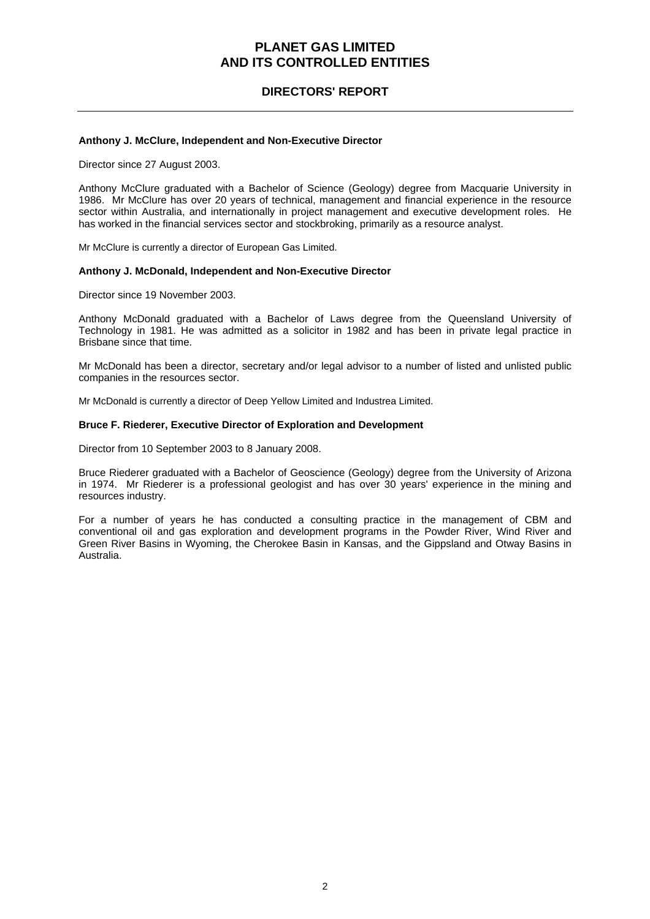## **DIRECTORS' REPORT**

#### **Anthony J. McClure, Independent and Non-Executive Director**

Director since 27 August 2003.

Anthony McClure graduated with a Bachelor of Science (Geology) degree from Macquarie University in 1986. Mr McClure has over 20 years of technical, management and financial experience in the resource sector within Australia, and internationally in project management and executive development roles. He has worked in the financial services sector and stockbroking, primarily as a resource analyst.

Mr McClure is currently a director of European Gas Limited.

#### **Anthony J. McDonald, Independent and Non-Executive Director**

Director since 19 November 2003.

Anthony McDonald graduated with a Bachelor of Laws degree from the Queensland University of Technology in 1981. He was admitted as a solicitor in 1982 and has been in private legal practice in Brisbane since that time.

Mr McDonald has been a director, secretary and/or legal advisor to a number of listed and unlisted public companies in the resources sector.

Mr McDonald is currently a director of Deep Yellow Limited and Industrea Limited.

#### **Bruce F. Riederer, Executive Director of Exploration and Development**

Director from 10 September 2003 to 8 January 2008.

Bruce Riederer graduated with a Bachelor of Geoscience (Geology) degree from the University of Arizona in 1974. Mr Riederer is a professional geologist and has over 30 years' experience in the mining and resources industry.

For a number of years he has conducted a consulting practice in the management of CBM and conventional oil and gas exploration and development programs in the Powder River, Wind River and Green River Basins in Wyoming, the Cherokee Basin in Kansas, and the Gippsland and Otway Basins in Australia.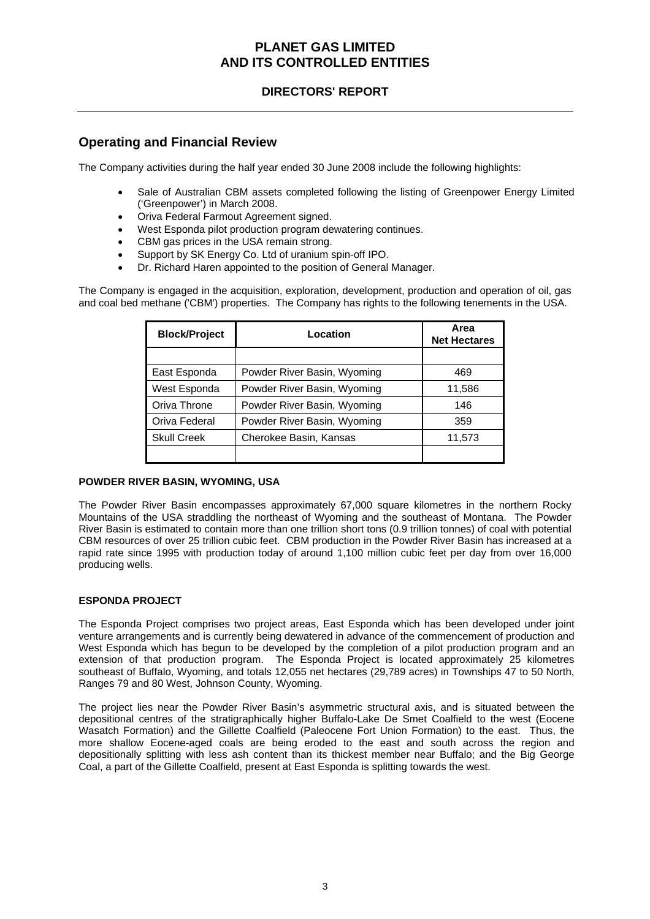## **DIRECTORS' REPORT**

## **Operating and Financial Review**

The Company activities during the half year ended 30 June 2008 include the following highlights:

- Sale of Australian CBM assets completed following the listing of Greenpower Energy Limited ('Greenpower') in March 2008.
- Oriva Federal Farmout Agreement signed.
- West Esponda pilot production program dewatering continues.
- CBM gas prices in the USA remain strong.
- Support by SK Energy Co. Ltd of uranium spin-off IPO.
- Dr. Richard Haren appointed to the position of General Manager.

The Company is engaged in the acquisition, exploration, development, production and operation of oil, gas and coal bed methane ('CBM') properties. The Company has rights to the following tenements in the USA.

| <b>Block/Project</b> | Location                    | Area<br><b>Net Hectares</b> |
|----------------------|-----------------------------|-----------------------------|
|                      |                             |                             |
| East Esponda         | Powder River Basin, Wyoming | 469                         |
| West Esponda         | Powder River Basin, Wyoming | 11,586                      |
| Oriva Throne         | Powder River Basin, Wyoming | 146                         |
| Oriva Federal        | Powder River Basin, Wyoming | 359                         |
| <b>Skull Creek</b>   | Cherokee Basin, Kansas      | 11,573                      |
|                      |                             |                             |

### **POWDER RIVER BASIN, WYOMING, USA**

The Powder River Basin encompasses approximately 67,000 square kilometres in the northern Rocky Mountains of the USA straddling the northeast of Wyoming and the southeast of Montana. The Powder River Basin is estimated to contain more than one trillion short tons (0.9 trillion tonnes) of coal with potential CBM resources of over 25 trillion cubic feet. CBM production in the Powder River Basin has increased at a rapid rate since 1995 with production today of around 1,100 million cubic feet per day from over 16,000 producing wells.

### **ESPONDA PROJECT**

The Esponda Project comprises two project areas, East Esponda which has been developed under joint venture arrangements and is currently being dewatered in advance of the commencement of production and West Esponda which has begun to be developed by the completion of a pilot production program and an extension of that production program. The Esponda Project is located approximately 25 kilometres southeast of Buffalo, Wyoming, and totals 12,055 net hectares (29,789 acres) in Townships 47 to 50 North, Ranges 79 and 80 West, Johnson County, Wyoming.

The project lies near the Powder River Basin's asymmetric structural axis, and is situated between the depositional centres of the stratigraphically higher Buffalo-Lake De Smet Coalfield to the west (Eocene Wasatch Formation) and the Gillette Coalfield (Paleocene Fort Union Formation) to the east. Thus, the more shallow Eocene-aged coals are being eroded to the east and south across the region and depositionally splitting with less ash content than its thickest member near Buffalo; and the Big George Coal, a part of the Gillette Coalfield, present at East Esponda is splitting towards the west.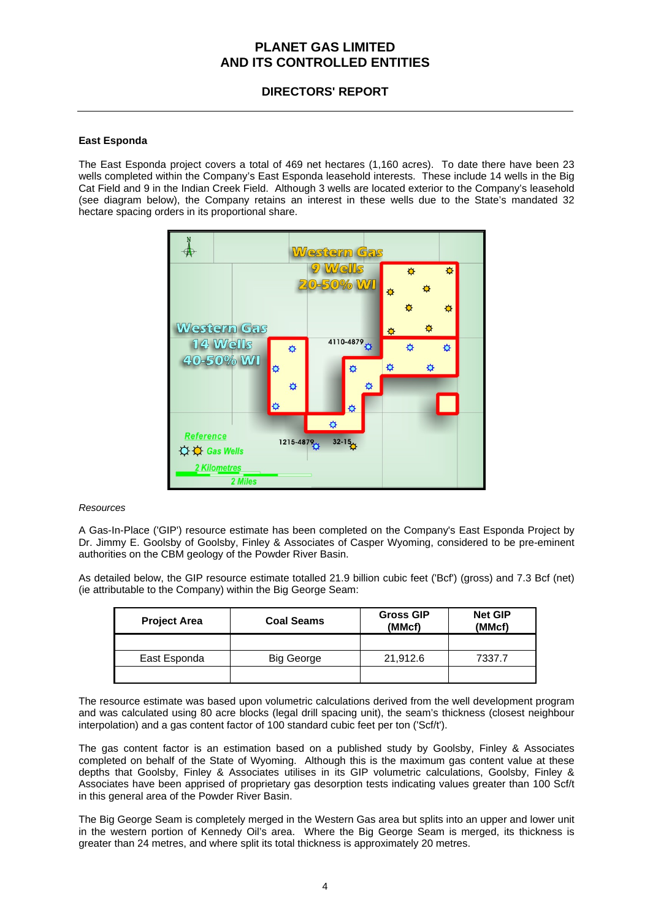## **DIRECTORS' REPORT**

### **East Esponda**

The East Esponda project covers a total of 469 net hectares (1,160 acres). To date there have been 23 wells completed within the Company's East Esponda leasehold interests. These include 14 wells in the Big Cat Field and 9 in the Indian Creek Field. Although 3 wells are located exterior to the Company's leasehold (see diagram below), the Company retains an interest in these wells due to the State's mandated 32 hectare spacing orders in its proportional share.



### *Resources*

A Gas-In-Place ('GIP') resource estimate has been completed on the Company's East Esponda Project by Dr. Jimmy E. Goolsby of Goolsby, Finley & Associates of Casper Wyoming, considered to be pre-eminent authorities on the CBM geology of the Powder River Basin.

As detailed below, the GIP resource estimate totalled 21.9 billion cubic feet ('Bcf') (gross) and 7.3 Bcf (net) (ie attributable to the Company) within the Big George Seam:

| <b>Project Area</b> | <b>Coal Seams</b> | <b>Gross GIP</b><br>(MMcf) | <b>Net GIP</b><br>(MMcf) |
|---------------------|-------------------|----------------------------|--------------------------|
|                     |                   |                            |                          |
| East Esponda        | Big George        | 21,912.6                   | 7337.7                   |
|                     |                   |                            |                          |

The resource estimate was based upon volumetric calculations derived from the well development program and was calculated using 80 acre blocks (legal drill spacing unit), the seam's thickness (closest neighbour interpolation) and a gas content factor of 100 standard cubic feet per ton ('Scf/t').

The gas content factor is an estimation based on a published study by Goolsby, Finley & Associates completed on behalf of the State of Wyoming. Although this is the maximum gas content value at these depths that Goolsby, Finley & Associates utilises in its GIP volumetric calculations, Goolsby, Finley & Associates have been apprised of proprietary gas desorption tests indicating values greater than 100 Scf/t in this general area of the Powder River Basin.

The Big George Seam is completely merged in the Western Gas area but splits into an upper and lower unit in the western portion of Kennedy Oil's area. Where the Big George Seam is merged, its thickness is greater than 24 metres, and where split its total thickness is approximately 20 metres.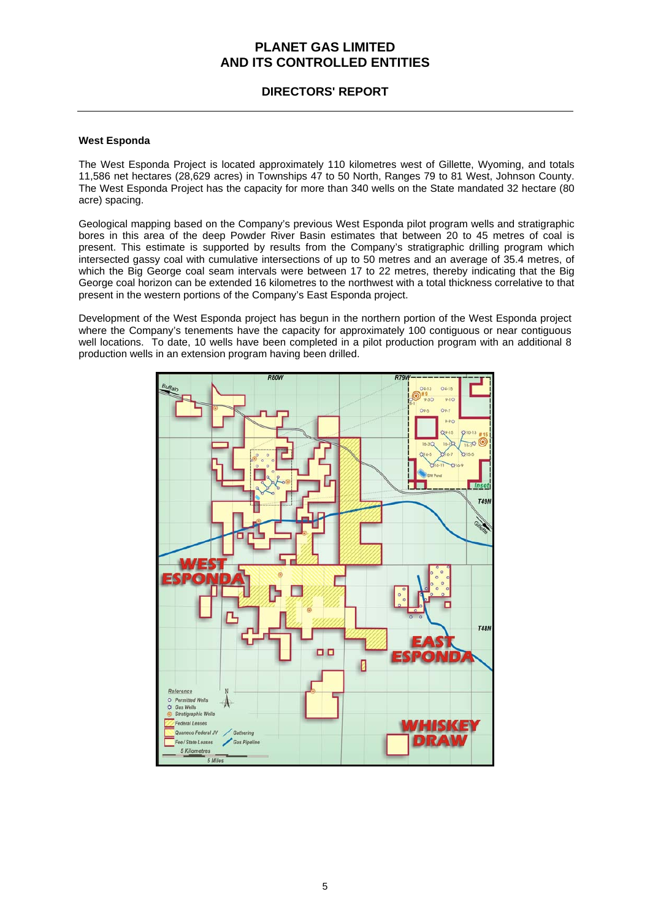## **DIRECTORS' REPORT**

### **West Esponda**

The West Esponda Project is located approximately 110 kilometres west of Gillette, Wyoming, and totals 11,586 net hectares (28,629 acres) in Townships 47 to 50 North, Ranges 79 to 81 West, Johnson County. The West Esponda Project has the capacity for more than 340 wells on the State mandated 32 hectare (80 acre) spacing.

Geological mapping based on the Company's previous West Esponda pilot program wells and stratigraphic bores in this area of the deep Powder River Basin estimates that between 20 to 45 metres of coal is present. This estimate is supported by results from the Company's stratigraphic drilling program which intersected gassy coal with cumulative intersections of up to 50 metres and an average of 35.4 metres, of which the Big George coal seam intervals were between 17 to 22 metres, thereby indicating that the Big George coal horizon can be extended 16 kilometres to the northwest with a total thickness correlative to that present in the western portions of the Company's East Esponda project.

Development of the West Esponda project has begun in the northern portion of the West Esponda project where the Company's tenements have the capacity for approximately 100 contiguous or near contiguous well locations. To date, 10 wells have been completed in a pilot production program with an additional 8 production wells in an extension program having been drilled.

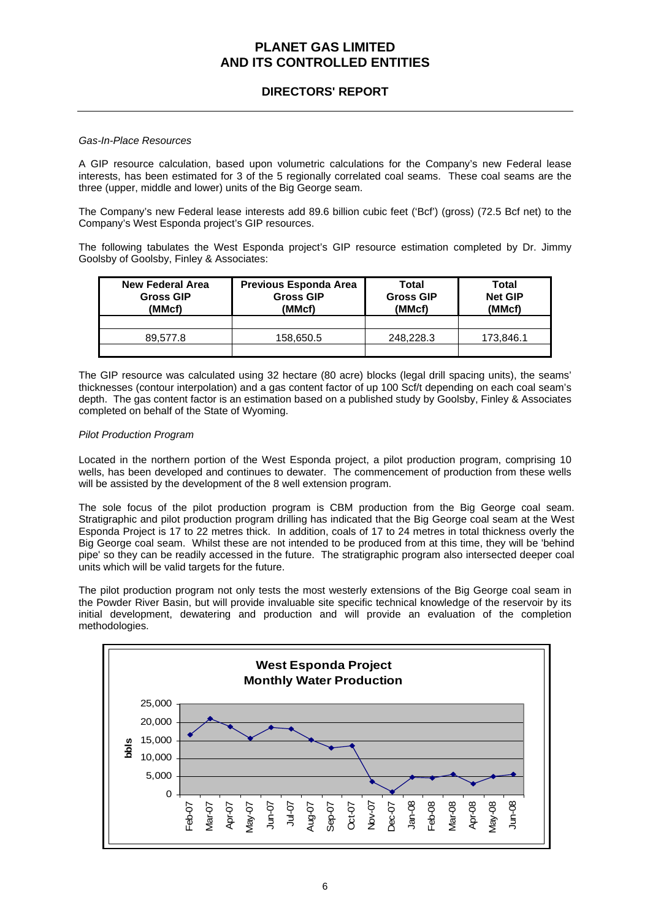## **DIRECTORS' REPORT**

#### *Gas-In-Place Resources*

A GIP resource calculation, based upon volumetric calculations for the Company's new Federal lease interests, has been estimated for 3 of the 5 regionally correlated coal seams. These coal seams are the three (upper, middle and lower) units of the Big George seam.

The Company's new Federal lease interests add 89.6 billion cubic feet ('Bcf') (gross) (72.5 Bcf net) to the Company's West Esponda project's GIP resources.

The following tabulates the West Esponda project's GIP resource estimation completed by Dr. Jimmy Goolsby of Goolsby, Finley & Associates:

| <b>New Federal Area</b><br><b>Gross GIP</b><br>(MMcf) | Previous Esponda Area<br><b>Gross GIP</b><br>(MMcf) | Total<br><b>Gross GIP</b><br>(MMcf) | Total<br><b>Net GIP</b><br>(MMcf) |
|-------------------------------------------------------|-----------------------------------------------------|-------------------------------------|-----------------------------------|
|                                                       |                                                     |                                     |                                   |
| 89.577.8                                              | 158,650.5                                           | 248.228.3                           | 173.846.1                         |
|                                                       |                                                     |                                     |                                   |

The GIP resource was calculated using 32 hectare (80 acre) blocks (legal drill spacing units), the seams' thicknesses (contour interpolation) and a gas content factor of up 100 Scf/t depending on each coal seam's depth. The gas content factor is an estimation based on a published study by Goolsby, Finley & Associates completed on behalf of the State of Wyoming.

#### *Pilot Production Program*

Located in the northern portion of the West Esponda project, a pilot production program, comprising 10 wells, has been developed and continues to dewater. The commencement of production from these wells will be assisted by the development of the 8 well extension program.

The sole focus of the pilot production program is CBM production from the Big George coal seam. Stratigraphic and pilot production program drilling has indicated that the Big George coal seam at the West Esponda Project is 17 to 22 metres thick. In addition, coals of 17 to 24 metres in total thickness overly the Big George coal seam. Whilst these are not intended to be produced from at this time, they will be 'behind pipe' so they can be readily accessed in the future. The stratigraphic program also intersected deeper coal units which will be valid targets for the future.

The pilot production program not only tests the most westerly extensions of the Big George coal seam in the Powder River Basin, but will provide invaluable site specific technical knowledge of the reservoir by its initial development, dewatering and production and will provide an evaluation of the completion methodologies.

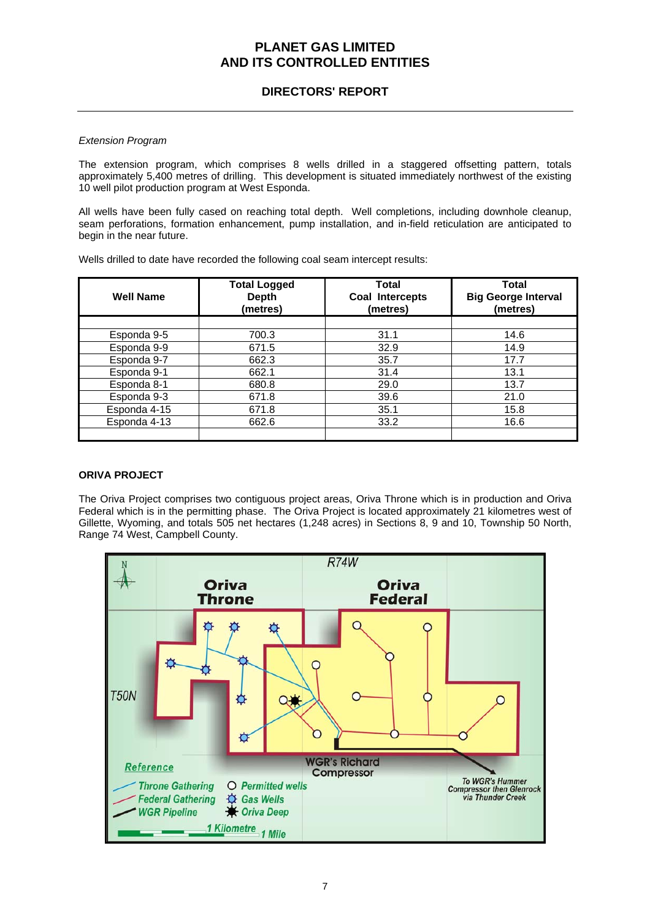## **DIRECTORS' REPORT**

### *Extension Program*

The extension program, which comprises 8 wells drilled in a staggered offsetting pattern, totals approximately 5,400 metres of drilling. This development is situated immediately northwest of the existing 10 well pilot production program at West Esponda.

All wells have been fully cased on reaching total depth. Well completions, including downhole cleanup, seam perforations, formation enhancement, pump installation, and in-field reticulation are anticipated to begin in the near future.

Wells drilled to date have recorded the following coal seam intercept results:

| <b>Well Name</b> | <b>Total Logged</b><br><b>Depth</b><br>(metres) | <b>Total</b><br>Coal Intercepts<br>(metres) | <b>Total</b><br><b>Big George Interval</b><br>(metres) |
|------------------|-------------------------------------------------|---------------------------------------------|--------------------------------------------------------|
|                  |                                                 |                                             |                                                        |
| Esponda 9-5      | 700.3                                           | 31.1                                        | 14.6                                                   |
| Esponda 9-9      | 671.5                                           | 32.9                                        | 14.9                                                   |
| Esponda 9-7      | 662.3                                           | 35.7                                        | 17.7                                                   |
| Esponda 9-1      | 662.1                                           | 31.4                                        | 13.1                                                   |
| Esponda 8-1      | 680.8                                           | 29.0                                        | 13.7                                                   |
| Esponda 9-3      | 671.8                                           | 39.6                                        | 21.0                                                   |
| Esponda 4-15     | 671.8                                           | 35.1                                        | 15.8                                                   |
| Esponda 4-13     | 662.6                                           | 33.2                                        | 16.6                                                   |
|                  |                                                 |                                             |                                                        |

### **ORIVA PROJECT**

The Oriva Project comprises two contiguous project areas, Oriva Throne which is in production and Oriva Federal which is in the permitting phase. The Oriva Project is located approximately 21 kilometres west of Gillette, Wyoming, and totals 505 net hectares (1,248 acres) in Sections 8, 9 and 10, Township 50 North, Range 74 West, Campbell County.

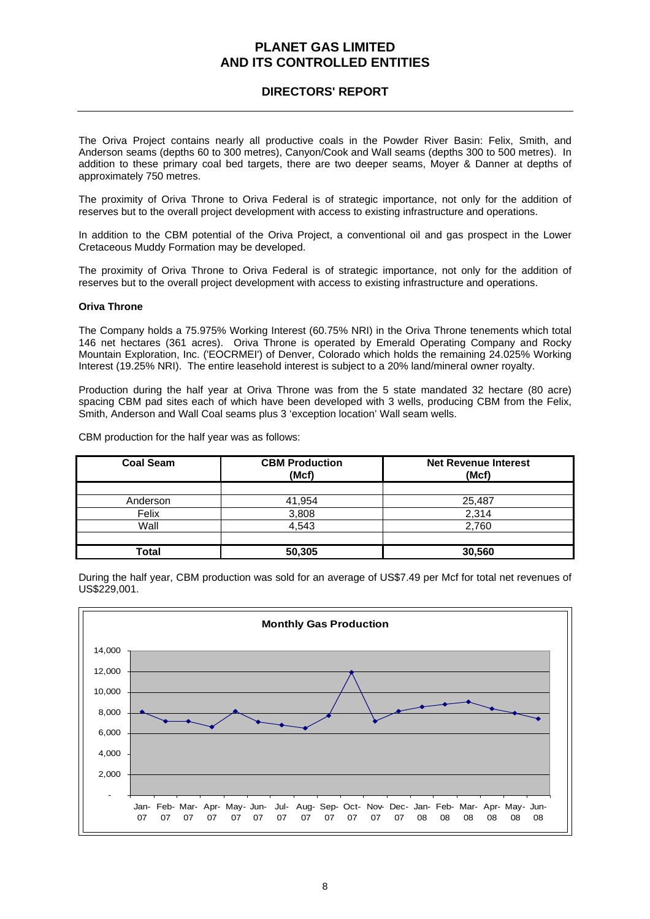## **DIRECTORS' REPORT**

The Oriva Project contains nearly all productive coals in the Powder River Basin: Felix, Smith, and Anderson seams (depths 60 to 300 metres), Canyon/Cook and Wall seams (depths 300 to 500 metres). In addition to these primary coal bed targets, there are two deeper seams, Moyer & Danner at depths of approximately 750 metres.

The proximity of Oriva Throne to Oriva Federal is of strategic importance, not only for the addition of reserves but to the overall project development with access to existing infrastructure and operations.

In addition to the CBM potential of the Oriva Project, a conventional oil and gas prospect in the Lower Cretaceous Muddy Formation may be developed.

The proximity of Oriva Throne to Oriva Federal is of strategic importance, not only for the addition of reserves but to the overall project development with access to existing infrastructure and operations.

### **Oriva Throne**

The Company holds a 75.975% Working Interest (60.75% NRI) in the Oriva Throne tenements which total 146 net hectares (361 acres). Oriva Throne is operated by Emerald Operating Company and Rocky Mountain Exploration, Inc. ('EOCRMEI') of Denver, Colorado which holds the remaining 24.025% Working Interest (19.25% NRI). The entire leasehold interest is subject to a 20% land/mineral owner royalty.

Production during the half year at Oriva Throne was from the 5 state mandated 32 hectare (80 acre) spacing CBM pad sites each of which have been developed with 3 wells, producing CBM from the Felix, Smith, Anderson and Wall Coal seams plus 3 'exception location' Wall seam wells.

CBM production for the half year was as follows:

| <b>Coal Seam</b> | <b>CBM Production</b><br>(Mcf) | <b>Net Revenue Interest</b><br>(Mcf) |
|------------------|--------------------------------|--------------------------------------|
|                  |                                |                                      |
| Anderson         | 41,954                         | 25,487                               |
| Felix            | 3,808                          | 2,314                                |
| Wall             | 4.543                          | 2,760                                |
|                  |                                |                                      |
| Total            | 50,305                         | 30,560                               |



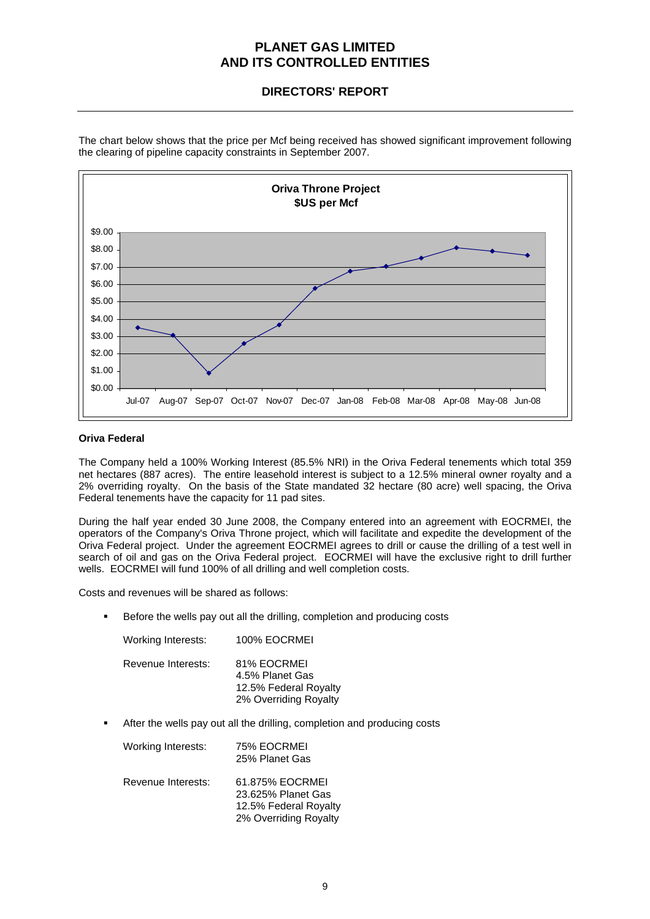## **DIRECTORS' REPORT**



The chart below shows that the price per Mcf being received has showed significant improvement following the clearing of pipeline capacity constraints in September 2007.

### **Oriva Federal**

The Company held a 100% Working Interest (85.5% NRI) in the Oriva Federal tenements which total 359 net hectares (887 acres). The entire leasehold interest is subject to a 12.5% mineral owner royalty and a 2% overriding royalty. On the basis of the State mandated 32 hectare (80 acre) well spacing, the Oriva Federal tenements have the capacity for 11 pad sites.

During the half year ended 30 June 2008, the Company entered into an agreement with EOCRMEI, the operators of the Company's Oriva Throne project, which will facilitate and expedite the development of the Oriva Federal project. Under the agreement EOCRMEI agrees to drill or cause the drilling of a test well in search of oil and gas on the Oriva Federal project. EOCRMEI will have the exclusive right to drill further wells. EOCRMEI will fund 100% of all drilling and well completion costs.

Costs and revenues will be shared as follows:

Before the wells pay out all the drilling, completion and producing costs

| Working Interests: | 100% EOCRMEI                                                                     |
|--------------------|----------------------------------------------------------------------------------|
| Revenue Interests: | 81% EOCRMEI<br>4.5% Planet Gas<br>12.5% Federal Royalty<br>2% Overriding Royalty |

After the wells pay out all the drilling, completion and producing costs

| <b>Working Interests:</b> | 75% EOCRMEI<br>25% Planet Gas                                                           |
|---------------------------|-----------------------------------------------------------------------------------------|
| Revenue Interests:        | 61.875% EOCRMEI<br>23.625% Planet Gas<br>12.5% Federal Royalty<br>2% Overriding Royalty |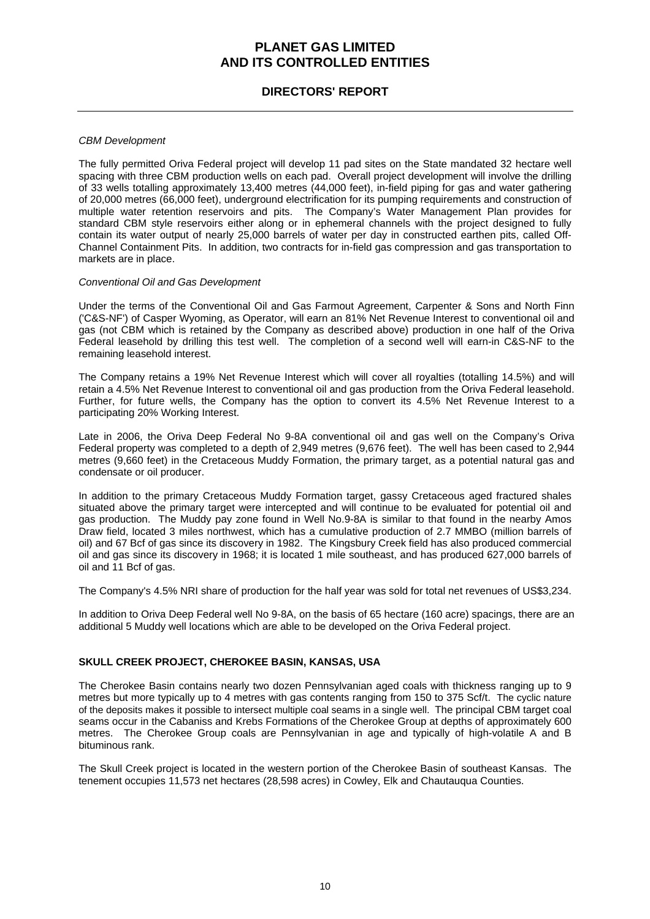## **DIRECTORS' REPORT**

### *CBM Development*

The fully permitted Oriva Federal project will develop 11 pad sites on the State mandated 32 hectare well spacing with three CBM production wells on each pad. Overall project development will involve the drilling of 33 wells totalling approximately 13,400 metres (44,000 feet), in-field piping for gas and water gathering of 20,000 metres (66,000 feet), underground electrification for its pumping requirements and construction of multiple water retention reservoirs and pits. The Company's Water Management Plan provides for standard CBM style reservoirs either along or in ephemeral channels with the project designed to fully contain its water output of nearly 25,000 barrels of water per day in constructed earthen pits, called Off-Channel Containment Pits. In addition, two contracts for in-field gas compression and gas transportation to markets are in place.

#### *Conventional Oil and Gas Development*

Under the terms of the Conventional Oil and Gas Farmout Agreement, Carpenter & Sons and North Finn ('C&S-NF') of Casper Wyoming, as Operator, will earn an 81% Net Revenue Interest to conventional oil and gas (not CBM which is retained by the Company as described above) production in one half of the Oriva Federal leasehold by drilling this test well. The completion of a second well will earn-in C&S-NF to the remaining leasehold interest.

The Company retains a 19% Net Revenue Interest which will cover all royalties (totalling 14.5%) and will retain a 4.5% Net Revenue Interest to conventional oil and gas production from the Oriva Federal leasehold. Further, for future wells, the Company has the option to convert its 4.5% Net Revenue Interest to a participating 20% Working Interest.

Late in 2006, the Oriva Deep Federal No 9-8A conventional oil and gas well on the Company's Oriva Federal property was completed to a depth of 2,949 metres (9,676 feet). The well has been cased to 2,944 metres (9,660 feet) in the Cretaceous Muddy Formation, the primary target, as a potential natural gas and condensate or oil producer.

In addition to the primary Cretaceous Muddy Formation target, gassy Cretaceous aged fractured shales situated above the primary target were intercepted and will continue to be evaluated for potential oil and gas production. The Muddy pay zone found in Well No.9-8A is similar to that found in the nearby Amos Draw field, located 3 miles northwest, which has a cumulative production of 2.7 MMBO (million barrels of oil) and 67 Bcf of gas since its discovery in 1982. The Kingsbury Creek field has also produced commercial oil and gas since its discovery in 1968; it is located 1 mile southeast, and has produced 627,000 barrels of oil and 11 Bcf of gas.

The Company's 4.5% NRI share of production for the half year was sold for total net revenues of US\$3,234.

In addition to Oriva Deep Federal well No 9-8A, on the basis of 65 hectare (160 acre) spacings, there are an additional 5 Muddy well locations which are able to be developed on the Oriva Federal project.

### **SKULL CREEK PROJECT, CHEROKEE BASIN, KANSAS, USA**

The Cherokee Basin contains nearly two dozen Pennsylvanian aged coals with thickness ranging up to 9 metres but more typically up to 4 metres with gas contents ranging from 150 to 375 Scf/t. The cyclic nature of the deposits makes it possible to intersect multiple coal seams in a single well. The principal CBM target coal seams occur in the Cabaniss and Krebs Formations of the Cherokee Group at depths of approximately 600 metres. The Cherokee Group coals are Pennsylvanian in age and typically of high-volatile A and B bituminous rank.

The Skull Creek project is located in the western portion of the Cherokee Basin of southeast Kansas. The tenement occupies 11,573 net hectares (28,598 acres) in Cowley, Elk and Chautauqua Counties.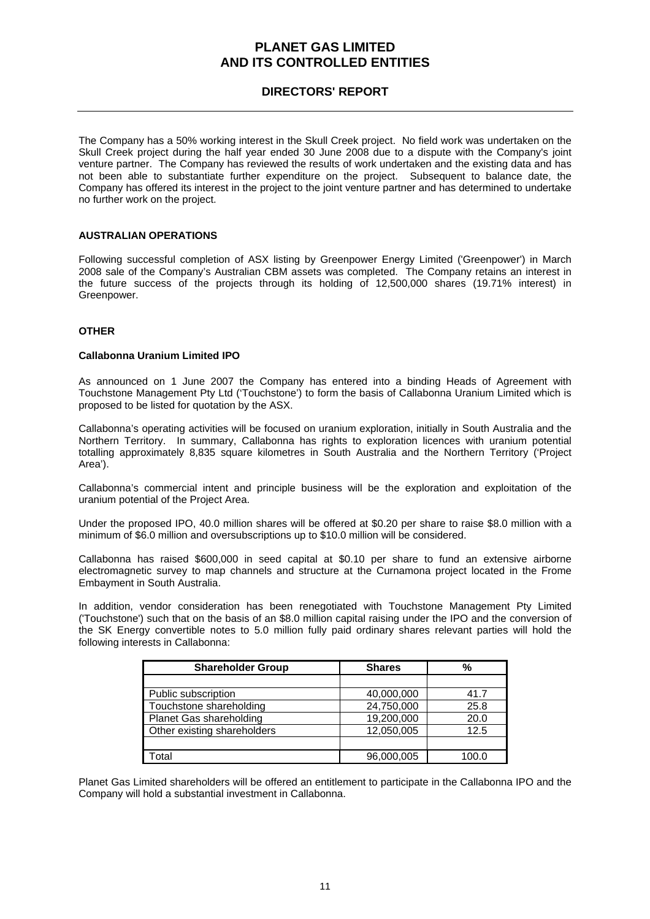## **DIRECTORS' REPORT**

The Company has a 50% working interest in the Skull Creek project. No field work was undertaken on the Skull Creek project during the half year ended 30 June 2008 due to a dispute with the Company's joint venture partner. The Company has reviewed the results of work undertaken and the existing data and has not been able to substantiate further expenditure on the project. Subsequent to balance date, the Company has offered its interest in the project to the joint venture partner and has determined to undertake no further work on the project.

### **AUSTRALIAN OPERATIONS**

Following successful completion of ASX listing by Greenpower Energy Limited ('Greenpower') in March 2008 sale of the Company's Australian CBM assets was completed. The Company retains an interest in the future success of the projects through its holding of 12,500,000 shares (19.71% interest) in Greenpower.

### **OTHER**

### **Callabonna Uranium Limited IPO**

As announced on 1 June 2007 the Company has entered into a binding Heads of Agreement with Touchstone Management Pty Ltd ('Touchstone') to form the basis of Callabonna Uranium Limited which is proposed to be listed for quotation by the ASX.

Callabonna's operating activities will be focused on uranium exploration, initially in South Australia and the Northern Territory. In summary, Callabonna has rights to exploration licences with uranium potential totalling approximately 8,835 square kilometres in South Australia and the Northern Territory ('Project Area').

Callabonna's commercial intent and principle business will be the exploration and exploitation of the uranium potential of the Project Area.

Under the proposed IPO, 40.0 million shares will be offered at \$0.20 per share to raise \$8.0 million with a minimum of \$6.0 million and oversubscriptions up to \$10.0 million will be considered.

Callabonna has raised \$600,000 in seed capital at \$0.10 per share to fund an extensive airborne electromagnetic survey to map channels and structure at the Curnamona project located in the Frome Embayment in South Australia.

In addition, vendor consideration has been renegotiated with Touchstone Management Pty Limited ('Touchstone') such that on the basis of an \$8.0 million capital raising under the IPO and the conversion of the SK Energy convertible notes to 5.0 million fully paid ordinary shares relevant parties will hold the following interests in Callabonna:

| <b>Shareholder Group</b>       | <b>Shares</b> | %     |  |
|--------------------------------|---------------|-------|--|
|                                |               |       |  |
| Public subscription            | 40,000,000    | 41.7  |  |
| Touchstone shareholding        | 24,750,000    | 25.8  |  |
| <b>Planet Gas shareholding</b> | 19,200,000    | 20.0  |  |
| Other existing shareholders    | 12,050,005    | 12.5  |  |
|                                |               |       |  |
| Total                          | 96,000,005    | 100.0 |  |

Planet Gas Limited shareholders will be offered an entitlement to participate in the Callabonna IPO and the Company will hold a substantial investment in Callabonna.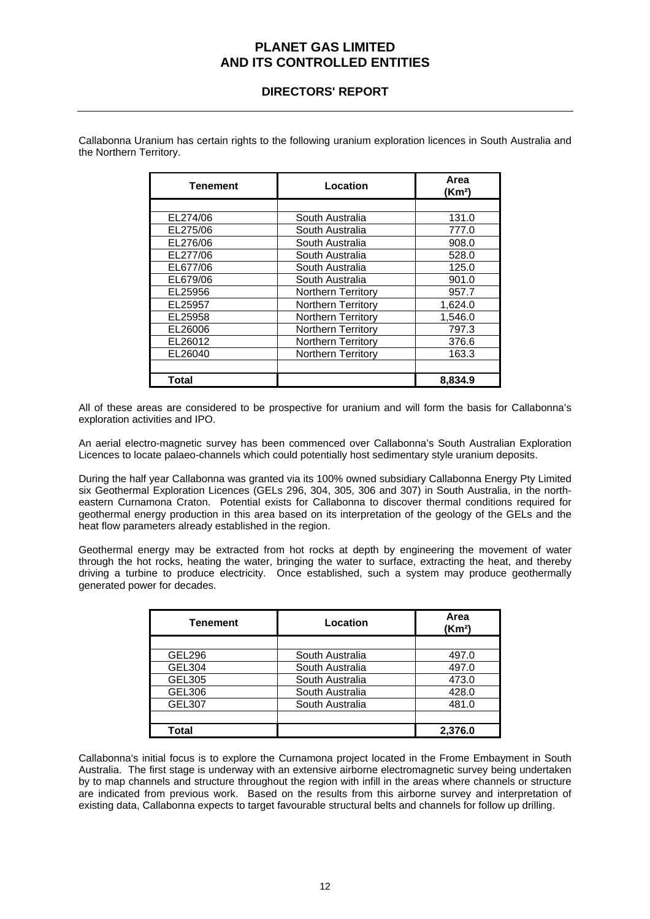## **DIRECTORS' REPORT**

| Tenement | Location                  | Area<br>(Km <sup>2</sup> ) |
|----------|---------------------------|----------------------------|
|          |                           |                            |
| EL274/06 | South Australia           | 131.0                      |
| EL275/06 | South Australia           | 777.0                      |
| EL276/06 | South Australia           | 908.0                      |
| EL277/06 | South Australia           | 528.0                      |
| EL677/06 | South Australia           | 125.0                      |
| EL679/06 | South Australia           | 901.0                      |
| EL25956  | <b>Northern Territory</b> | 957.7                      |
| EL25957  | <b>Northern Territory</b> | 1.624.0                    |
| EL25958  | <b>Northern Territory</b> | 1,546.0                    |
| EL26006  | <b>Northern Territory</b> | 797.3                      |
| EL26012  | Northern Territory        | 376.6                      |
| EL26040  | <b>Northern Territory</b> | 163.3                      |
|          |                           |                            |
| Total    |                           | 8,834.9                    |

Callabonna Uranium has certain rights to the following uranium exploration licences in South Australia and the Northern Territory.

All of these areas are considered to be prospective for uranium and will form the basis for Callabonna's exploration activities and IPO.

An aerial electro-magnetic survey has been commenced over Callabonna's South Australian Exploration Licences to locate palaeo-channels which could potentially host sedimentary style uranium deposits.

During the half year Callabonna was granted via its 100% owned subsidiary Callabonna Energy Pty Limited six Geothermal Exploration Licences (GELs 296, 304, 305, 306 and 307) in South Australia, in the northeastern Curnamona Craton. Potential exists for Callabonna to discover thermal conditions required for geothermal energy production in this area based on its interpretation of the geology of the GELs and the heat flow parameters already established in the region.

Geothermal energy may be extracted from hot rocks at depth by engineering the movement of water through the hot rocks, heating the water, bringing the water to surface, extracting the heat, and thereby driving a turbine to produce electricity. Once established, such a system may produce geothermally generated power for decades.

| Tenement      | Location        | Area<br>(Km <sup>2</sup> ) |
|---------------|-----------------|----------------------------|
|               |                 |                            |
| <b>GEL296</b> | South Australia | 497.0                      |
| GEL304        | South Australia | 497.0                      |
| GEL305        | South Australia | 473.0                      |
| GEL306        | South Australia | 428.0                      |
| <b>GEL307</b> | South Australia | 481.0                      |
|               |                 |                            |
| Total         |                 | 2,376.0                    |

Callabonna's initial focus is to explore the Curnamona project located in the Frome Embayment in South Australia. The first stage is underway with an extensive airborne electromagnetic survey being undertaken by to map channels and structure throughout the region with infill in the areas where channels or structure are indicated from previous work. Based on the results from this airborne survey and interpretation of existing data, Callabonna expects to target favourable structural belts and channels for follow up drilling.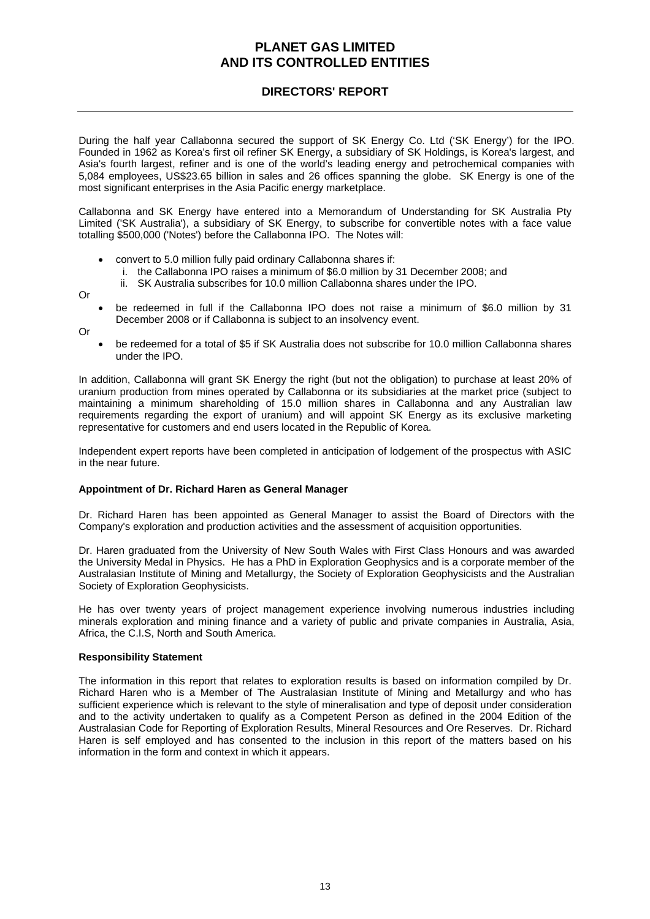## **DIRECTORS' REPORT**

During the half year Callabonna secured the support of SK Energy Co. Ltd ('SK Energy') for the IPO. Founded in 1962 as Korea's first oil refiner SK Energy, a subsidiary of SK Holdings, is Korea's largest, and Asia's fourth largest, refiner and is one of the world's leading energy and petrochemical companies with 5,084 employees, US\$23.65 billion in sales and 26 offices spanning the globe. SK Energy is one of the most significant enterprises in the Asia Pacific energy marketplace.

Callabonna and SK Energy have entered into a Memorandum of Understanding for SK Australia Pty Limited ('SK Australia'), a subsidiary of SK Energy, to subscribe for convertible notes with a face value totalling \$500,000 ('Notes') before the Callabonna IPO. The Notes will:

- convert to 5.0 million fully paid ordinary Callabonna shares if:
	- i. the Callabonna IPO raises a minimum of \$6.0 million by 31 December 2008; and
	- ii. SK Australia subscribes for 10.0 million Callabonna shares under the IPO.

Or

• be redeemed in full if the Callabonna IPO does not raise a minimum of \$6.0 million by 31 December 2008 or if Callabonna is subject to an insolvency event.

Or

• be redeemed for a total of \$5 if SK Australia does not subscribe for 10.0 million Callabonna shares under the IPO.

In addition, Callabonna will grant SK Energy the right (but not the obligation) to purchase at least 20% of uranium production from mines operated by Callabonna or its subsidiaries at the market price (subject to maintaining a minimum shareholding of 15.0 million shares in Callabonna and any Australian law requirements regarding the export of uranium) and will appoint SK Energy as its exclusive marketing representative for customers and end users located in the Republic of Korea.

Independent expert reports have been completed in anticipation of lodgement of the prospectus with ASIC in the near future.

### **Appointment of Dr. Richard Haren as General Manager**

Dr. Richard Haren has been appointed as General Manager to assist the Board of Directors with the Company's exploration and production activities and the assessment of acquisition opportunities.

Dr. Haren graduated from the University of New South Wales with First Class Honours and was awarded the University Medal in Physics. He has a PhD in Exploration Geophysics and is a corporate member of the Australasian Institute of Mining and Metallurgy, the Society of Exploration Geophysicists and the Australian Society of Exploration Geophysicists.

He has over twenty years of project management experience involving numerous industries including minerals exploration and mining finance and a variety of public and private companies in Australia, Asia, Africa, the C.I.S, North and South America.

### **Responsibility Statement**

The information in this report that relates to exploration results is based on information compiled by Dr. Richard Haren who is a Member of The Australasian Institute of Mining and Metallurgy and who has sufficient experience which is relevant to the style of mineralisation and type of deposit under consideration and to the activity undertaken to qualify as a Competent Person as defined in the 2004 Edition of the Australasian Code for Reporting of Exploration Results, Mineral Resources and Ore Reserves. Dr. Richard Haren is self employed and has consented to the inclusion in this report of the matters based on his information in the form and context in which it appears.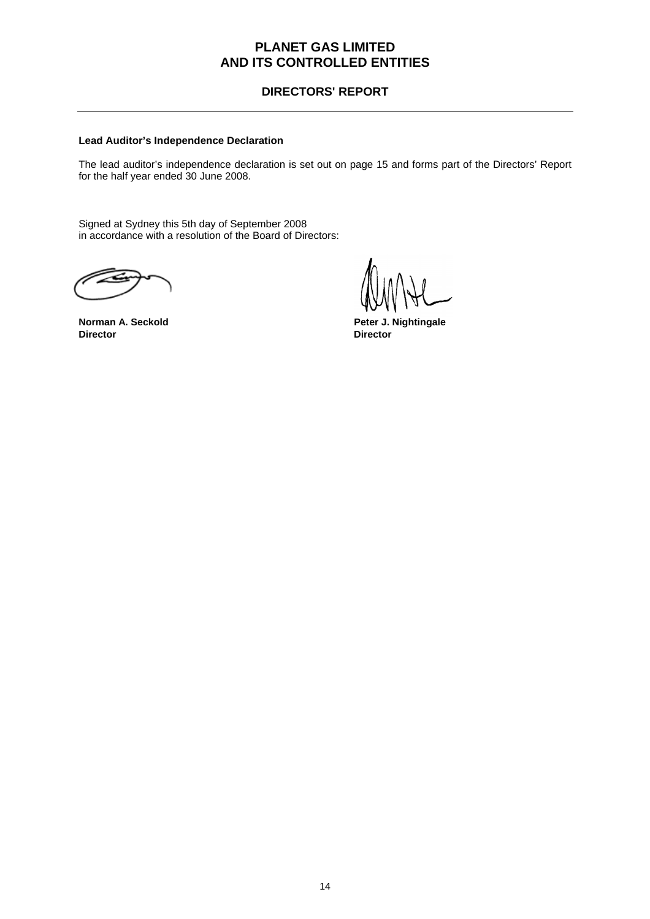## **DIRECTORS' REPORT**

### **Lead Auditor's Independence Declaration**

The lead auditor's independence declaration is set out on page 15 and forms part of the Directors' Report for the half year ended 30 June 2008.

Signed at Sydney this 5th day of September 2008 in accordance with a resolution of the Board of Directors:

**Director Director** 

**Norman A. Seckold Community Community Peter J. Nightingale**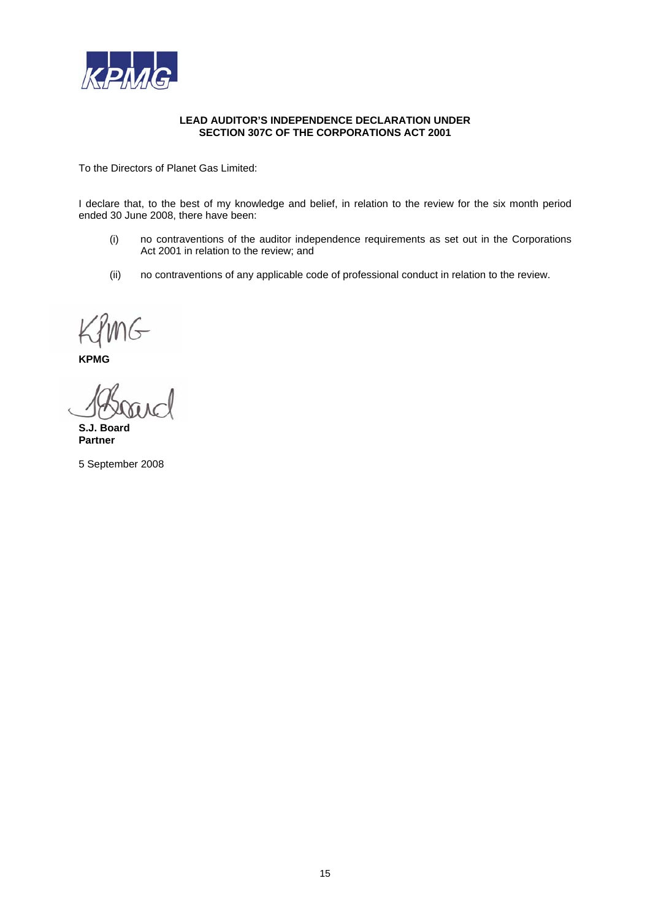

#### **LEAD AUDITOR'S INDEPENDENCE DECLARATION UNDER SECTION 307C OF THE CORPORATIONS ACT 2001**

To the Directors of Planet Gas Limited:

I declare that, to the best of my knowledge and belief, in relation to the review for the six month period ended 30 June 2008, there have been:

- (i) no contraventions of the auditor independence requirements as set out in the Corporations Act 2001 in relation to the review; and
- (ii) no contraventions of any applicable code of professional conduct in relation to the review.

**KPMG** 

**S.J. Board Partner** 

5 September 2008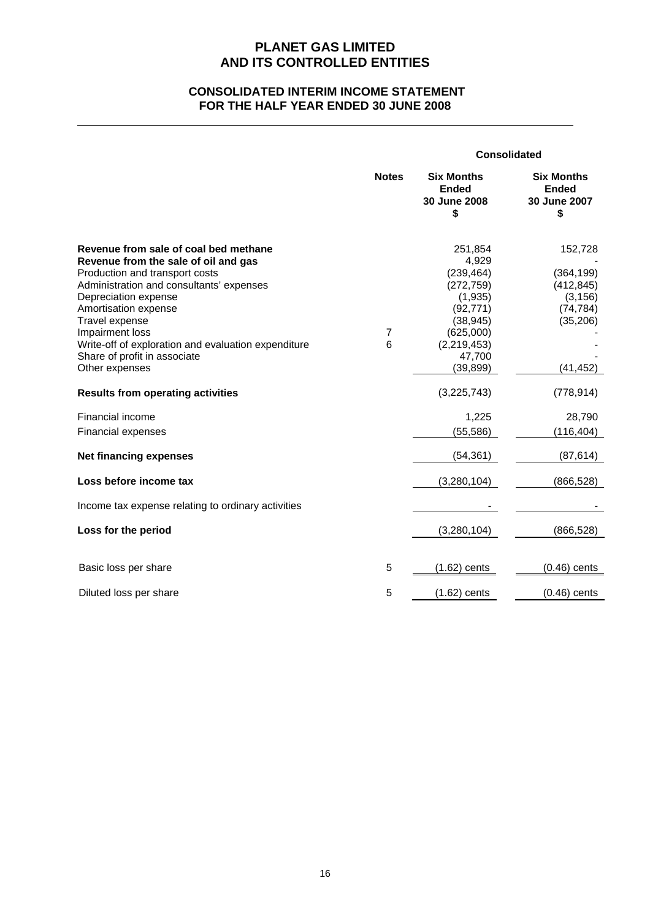## **CONSOLIDATED INTERIM INCOME STATEMENT FOR THE HALF YEAR ENDED 30 JUNE 2008**

|                                                                                                                                                                                                                                                                                                                                         |              |                                                                                                                           | <b>Consolidated</b>                                                       |  |
|-----------------------------------------------------------------------------------------------------------------------------------------------------------------------------------------------------------------------------------------------------------------------------------------------------------------------------------------|--------------|---------------------------------------------------------------------------------------------------------------------------|---------------------------------------------------------------------------|--|
|                                                                                                                                                                                                                                                                                                                                         | <b>Notes</b> | <b>Six Months</b><br><b>Ended</b><br>30 June 2008<br>\$                                                                   | <b>Six Months</b><br><b>Ended</b><br>30 June 2007<br>\$                   |  |
| Revenue from sale of coal bed methane<br>Revenue from the sale of oil and gas<br>Production and transport costs<br>Administration and consultants' expenses<br>Depreciation expense<br>Amortisation expense<br>Travel expense<br>Impairment loss<br>Write-off of exploration and evaluation expenditure<br>Share of profit in associate | 7<br>6       | 251,854<br>4,929<br>(239, 464)<br>(272, 759)<br>(1,935)<br>(92, 771)<br>(38, 945)<br>(625,000)<br>(2, 219, 453)<br>47,700 | 152,728<br>(364, 199)<br>(412, 845)<br>(3, 156)<br>(74, 784)<br>(35, 206) |  |
| Other expenses<br><b>Results from operating activities</b>                                                                                                                                                                                                                                                                              |              | (39, 899)<br>(3,225,743)                                                                                                  | (41, 452)<br>(778, 914)                                                   |  |
| Financial income<br>Financial expenses                                                                                                                                                                                                                                                                                                  |              | 1,225<br>(55, 586)                                                                                                        | 28,790<br>(116, 404)                                                      |  |
| <b>Net financing expenses</b>                                                                                                                                                                                                                                                                                                           |              | (54, 361)                                                                                                                 | (87, 614)                                                                 |  |
| Loss before income tax                                                                                                                                                                                                                                                                                                                  |              | (3, 280, 104)                                                                                                             | (866, 528)                                                                |  |
| Income tax expense relating to ordinary activities                                                                                                                                                                                                                                                                                      |              |                                                                                                                           |                                                                           |  |
| Loss for the period                                                                                                                                                                                                                                                                                                                     |              | (3,280,104)                                                                                                               | (866, 528)                                                                |  |
| Basic loss per share                                                                                                                                                                                                                                                                                                                    | 5            | $(1.62)$ cents                                                                                                            | $(0.46)$ cents                                                            |  |
| Diluted loss per share                                                                                                                                                                                                                                                                                                                  | 5            | $(1.62)$ cents                                                                                                            | $(0.46)$ cents                                                            |  |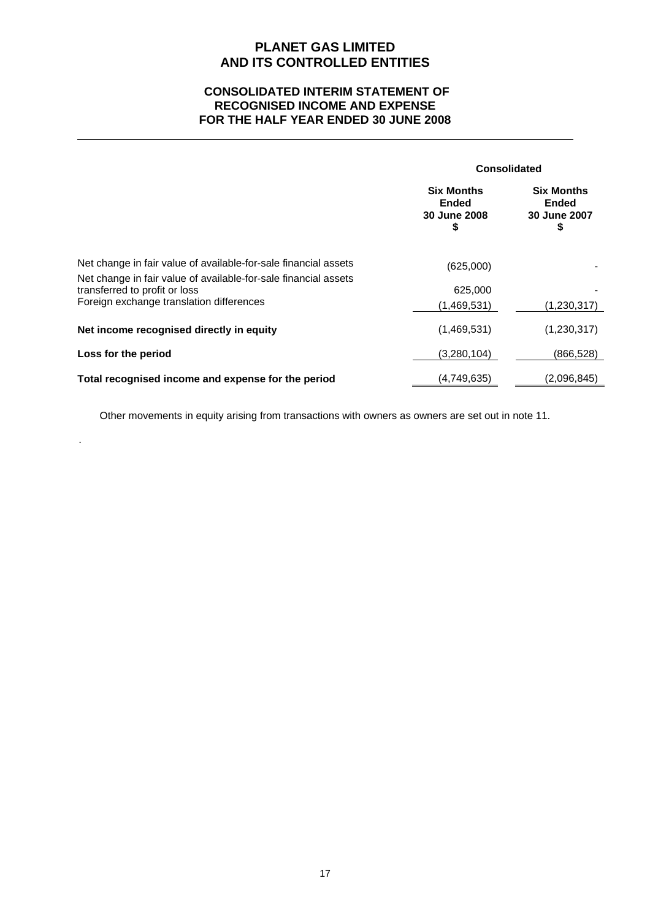## **CONSOLIDATED INTERIM STATEMENT OF RECOGNISED INCOME AND EXPENSE FOR THE HALF YEAR ENDED 30 JUNE 2008**

|                                                                                                  | <b>Consolidated</b>                                     |                                                         |
|--------------------------------------------------------------------------------------------------|---------------------------------------------------------|---------------------------------------------------------|
|                                                                                                  | <b>Six Months</b><br><b>Ended</b><br>30 June 2008<br>\$ | <b>Six Months</b><br><b>Ended</b><br>30 June 2007<br>\$ |
| Net change in fair value of available-for-sale financial assets                                  | (625,000)                                               |                                                         |
| Net change in fair value of available-for-sale financial assets<br>transferred to profit or loss | 625,000                                                 |                                                         |
| Foreign exchange translation differences                                                         | (1,469,531)                                             | (1,230,317)                                             |
| Net income recognised directly in equity                                                         | (1,469,531)                                             | (1,230,317)                                             |
| Loss for the period                                                                              | (3,280,104)                                             | (866, 528)                                              |
| Total recognised income and expense for the period                                               | (4,749,635)                                             | (2,096,845)                                             |

Other movements in equity arising from transactions with owners as owners are set out in note 11.

.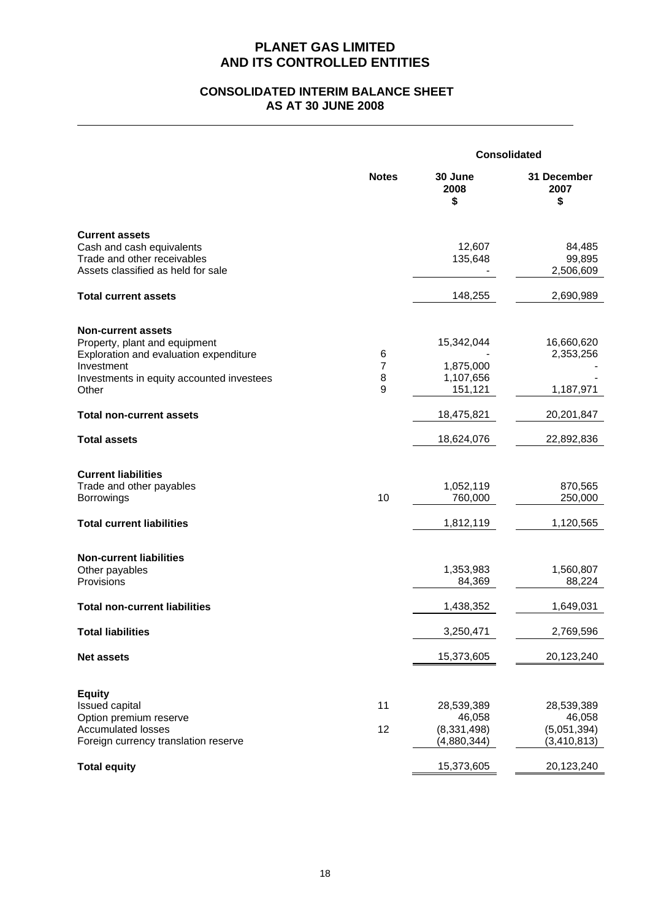## **CONSOLIDATED INTERIM BALANCE SHEET AS AT 30 JUNE 2008**

|                                                                                                                                                                          | <b>Consolidated</b> |                                                      |                                                      |
|--------------------------------------------------------------------------------------------------------------------------------------------------------------------------|---------------------|------------------------------------------------------|------------------------------------------------------|
|                                                                                                                                                                          | <b>Notes</b>        | 30 June<br>2008<br>\$                                | 31 December<br>2007<br>\$                            |
| <b>Current assets</b><br>Cash and cash equivalents<br>Trade and other receivables<br>Assets classified as held for sale                                                  |                     | 12,607<br>135,648                                    | 84,485<br>99,895<br>2,506,609                        |
| <b>Total current assets</b>                                                                                                                                              |                     | 148,255                                              | 2,690,989                                            |
| <b>Non-current assets</b><br>Property, plant and equipment<br>Exploration and evaluation expenditure<br>Investment<br>Investments in equity accounted investees<br>Other | 6<br>7<br>8<br>9    | 15,342,044<br>1,875,000<br>1,107,656<br>151,121      | 16,660,620<br>2,353,256<br>1,187,971                 |
| <b>Total non-current assets</b>                                                                                                                                          |                     | 18,475,821                                           | 20,201,847                                           |
| <b>Total assets</b>                                                                                                                                                      |                     | 18,624,076                                           | 22,892,836                                           |
| <b>Current liabilities</b><br>Trade and other payables<br><b>Borrowings</b><br><b>Total current liabilities</b>                                                          | 10                  | 1,052,119<br>760,000<br>1,812,119                    | 870,565<br>250,000<br>1,120,565                      |
| <b>Non-current liabilities</b><br>Other payables<br>Provisions                                                                                                           |                     | 1,353,983<br>84,369                                  | 1,560,807<br>88,224                                  |
| <b>Total non-current liabilities</b>                                                                                                                                     |                     | 1,438,352                                            | 1,649,031                                            |
| <b>Total liabilities</b>                                                                                                                                                 |                     | 3,250,471                                            | 2,769,596                                            |
| <b>Net assets</b>                                                                                                                                                        |                     | 15,373,605                                           | 20,123,240                                           |
| <b>Equity</b><br>Issued capital<br>Option premium reserve<br><b>Accumulated losses</b><br>Foreign currency translation reserve                                           | 11<br>12            | 28,539,389<br>46,058<br>(8, 331, 498)<br>(4,880,344) | 28,539,389<br>46,058<br>(5,051,394)<br>(3, 410, 813) |
| <b>Total equity</b>                                                                                                                                                      |                     | 15,373,605                                           | 20,123,240                                           |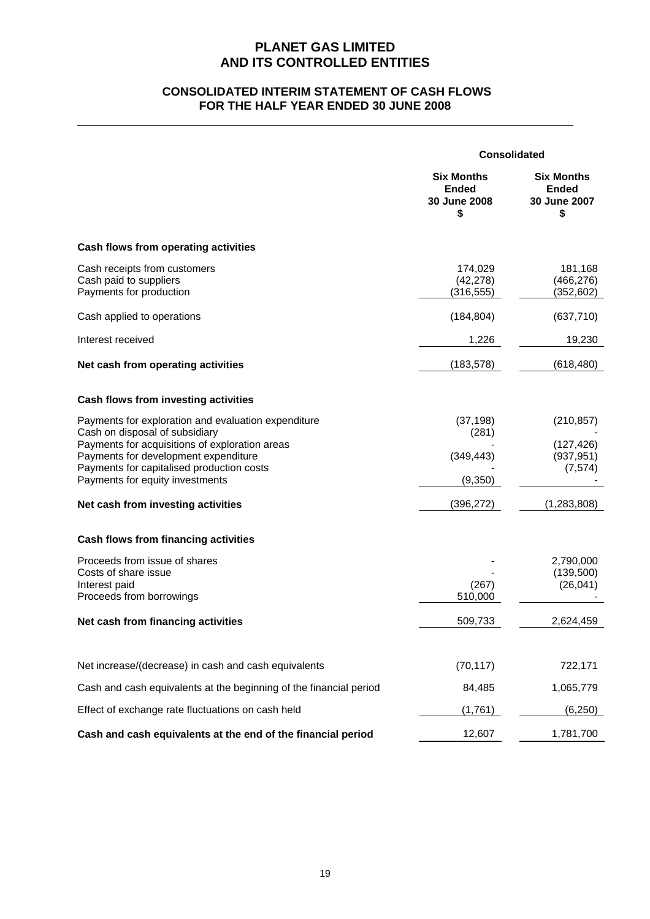## **CONSOLIDATED INTERIM STATEMENT OF CASH FLOWS FOR THE HALF YEAR ENDED 30 JUNE 2008**

|                                                                                                                                                                                                                                                                 | <b>Consolidated</b>                                     |                                                         |
|-----------------------------------------------------------------------------------------------------------------------------------------------------------------------------------------------------------------------------------------------------------------|---------------------------------------------------------|---------------------------------------------------------|
|                                                                                                                                                                                                                                                                 | <b>Six Months</b><br><b>Ended</b><br>30 June 2008<br>\$ | <b>Six Months</b><br><b>Ended</b><br>30 June 2007<br>\$ |
| Cash flows from operating activities                                                                                                                                                                                                                            |                                                         |                                                         |
| Cash receipts from customers<br>Cash paid to suppliers<br>Payments for production                                                                                                                                                                               | 174,029<br>(42, 278)<br>(316, 555)                      | 181,168<br>(466, 276)<br>(352,602)                      |
| Cash applied to operations                                                                                                                                                                                                                                      | (184, 804)                                              | (637, 710)                                              |
| Interest received                                                                                                                                                                                                                                               | 1,226                                                   | 19,230                                                  |
| Net cash from operating activities                                                                                                                                                                                                                              | (183, 578)                                              | (618, 480)                                              |
| Cash flows from investing activities                                                                                                                                                                                                                            |                                                         |                                                         |
| Payments for exploration and evaluation expenditure<br>Cash on disposal of subsidiary<br>Payments for acquisitions of exploration areas<br>Payments for development expenditure<br>Payments for capitalised production costs<br>Payments for equity investments | (37, 198)<br>(281)<br>(349, 443)<br>(9, 350)            | (210, 857)<br>(127, 426)<br>(937, 951)<br>(7, 574)      |
| Net cash from investing activities                                                                                                                                                                                                                              | (396, 272)                                              | (1, 283, 808)                                           |
| Cash flows from financing activities                                                                                                                                                                                                                            |                                                         |                                                         |
| Proceeds from issue of shares<br>Costs of share issue<br>Interest paid<br>Proceeds from borrowings                                                                                                                                                              | (267)<br>510,000                                        | 2,790,000<br>(139,500)<br>(26, 041)                     |
| Net cash from financing activities                                                                                                                                                                                                                              | 509,733                                                 | 2,624,459                                               |
|                                                                                                                                                                                                                                                                 |                                                         |                                                         |
| Net increase/(decrease) in cash and cash equivalents                                                                                                                                                                                                            | (70, 117)                                               | 722,171                                                 |
| Cash and cash equivalents at the beginning of the financial period                                                                                                                                                                                              | 84,485                                                  | 1,065,779                                               |
| Effect of exchange rate fluctuations on cash held                                                                                                                                                                                                               | (1,761)                                                 | (6, 250)                                                |
| Cash and cash equivalents at the end of the financial period                                                                                                                                                                                                    | 12,607                                                  | 1,781,700                                               |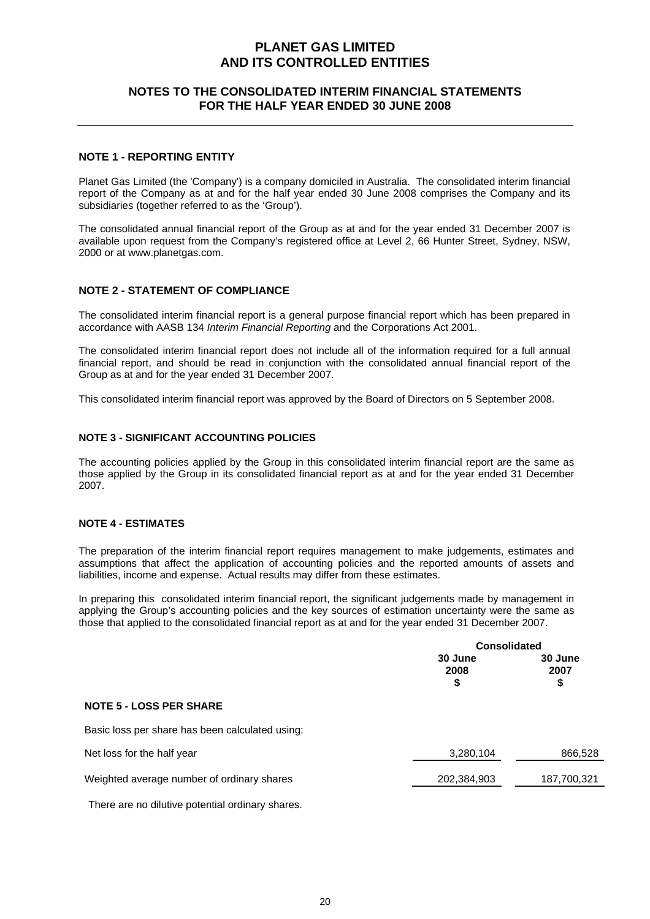### **NOTES TO THE CONSOLIDATED INTERIM FINANCIAL STATEMENTS FOR THE HALF YEAR ENDED 30 JUNE 2008**

### **NOTE 1 - REPORTING ENTITY**

Planet Gas Limited (the 'Company') is a company domiciled in Australia. The consolidated interim financial report of the Company as at and for the half year ended 30 June 2008 comprises the Company and its subsidiaries (together referred to as the 'Group').

The consolidated annual financial report of the Group as at and for the year ended 31 December 2007 is available upon request from the Company's registered office at Level 2, 66 Hunter Street, Sydney, NSW, 2000 or at www.planetgas.com.

### **NOTE 2 - STATEMENT OF COMPLIANCE**

The consolidated interim financial report is a general purpose financial report which has been prepared in accordance with AASB 134 *Interim Financial Reporting* and the Corporations Act 2001.

The consolidated interim financial report does not include all of the information required for a full annual financial report, and should be read in conjunction with the consolidated annual financial report of the Group as at and for the year ended 31 December 2007.

This consolidated interim financial report was approved by the Board of Directors on 5 September 2008.

### **NOTE 3 - SIGNIFICANT ACCOUNTING POLICIES**

The accounting policies applied by the Group in this consolidated interim financial report are the same as those applied by the Group in its consolidated financial report as at and for the year ended 31 December 2007.

### **NOTE 4 - ESTIMATES**

The preparation of the interim financial report requires management to make judgements, estimates and assumptions that affect the application of accounting policies and the reported amounts of assets and liabilities, income and expense. Actual results may differ from these estimates.

In preparing this consolidated interim financial report, the significant judgements made by management in applying the Group's accounting policies and the key sources of estimation uncertainty were the same as those that applied to the consolidated financial report as at and for the year ended 31 December 2007.

|                                                 | <b>Consolidated</b>   |                       |
|-------------------------------------------------|-----------------------|-----------------------|
|                                                 | 30 June<br>2008<br>\$ | 30 June<br>2007<br>\$ |
| <b>NOTE 5 - LOSS PER SHARE</b>                  |                       |                       |
| Basic loss per share has been calculated using: |                       |                       |
| Net loss for the half year                      | 3,280,104             | 866,528               |
| Weighted average number of ordinary shares      | 202,384,903           | 187,700,321           |

There are no dilutive potential ordinary shares.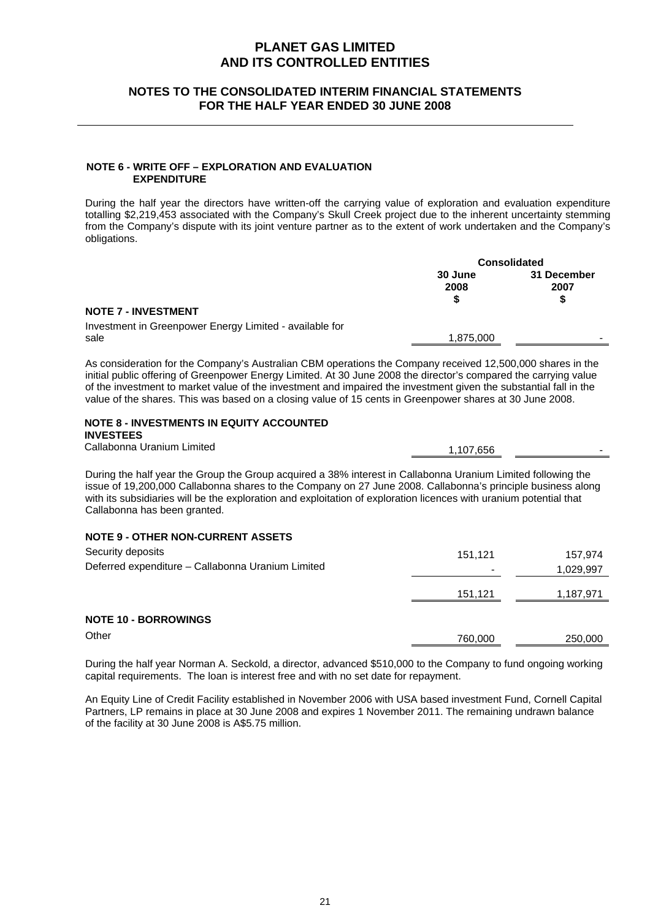### **NOTES TO THE CONSOLIDATED INTERIM FINANCIAL STATEMENTS FOR THE HALF YEAR ENDED 30 JUNE 2008**

#### **NOTE 6 - WRITE OFF – EXPLORATION AND EVALUATION EXPENDITURE**

During the half year the directors have written-off the carrying value of exploration and evaluation expenditure totalling \$2,219,453 associated with the Company's Skull Creek project due to the inherent uncertainty stemming from the Company's dispute with its joint venture partner as to the extent of work undertaken and the Company's obligations.

|                                                                 | <b>Consolidated</b>  |                          |
|-----------------------------------------------------------------|----------------------|--------------------------|
|                                                                 | 30 June<br>2008<br>S | 31 December<br>2007<br>S |
| <b>NOTE 7 - INVESTMENT</b>                                      |                      |                          |
| Investment in Greenpower Energy Limited - available for<br>sale | 1,875,000            | -                        |
|                                                                 |                      |                          |

As consideration for the Company's Australian CBM operations the Company received 12,500,000 shares in the initial public offering of Greenpower Energy Limited. At 30 June 2008 the director's compared the carrying value of the investment to market value of the investment and impaired the investment given the substantial fall in the value of the shares. This was based on a closing value of 15 cents in Greenpower shares at 30 June 2008.

## **NOTE 8 - INVESTMENTS IN EQUITY ACCOUNTED**

**INVESTEES**

Callabonna Uranium Limited 1,107,656

During the half year the Group the Group acquired a 38% interest in Callabonna Uranium Limited following the issue of 19,200,000 Callabonna shares to the Company on 27 June 2008. Callabonna's principle business along with its subsidiaries will be the exploration and exploitation of exploration licences with uranium potential that Callabonna has been granted.

### **NOTE 9 - OTHER NON-CURRENT ASSETS**

| Security deposits                                 | 151,121 | 157,974   |
|---------------------------------------------------|---------|-----------|
| Deferred expenditure – Callabonna Uranium Limited | $\,$    | 1,029,997 |
|                                                   | 151,121 | 1,187,971 |
| <b>NOTE 10 - BORROWINGS</b>                       |         |           |
| Other                                             | 760,000 | 250,000   |

During the half year Norman A. Seckold, a director, advanced \$510,000 to the Company to fund ongoing working capital requirements. The loan is interest free and with no set date for repayment.

An Equity Line of Credit Facility established in November 2006 with USA based investment Fund, Cornell Capital Partners, LP remains in place at 30 June 2008 and expires 1 November 2011. The remaining undrawn balance of the facility at 30 June 2008 is A\$5.75 million.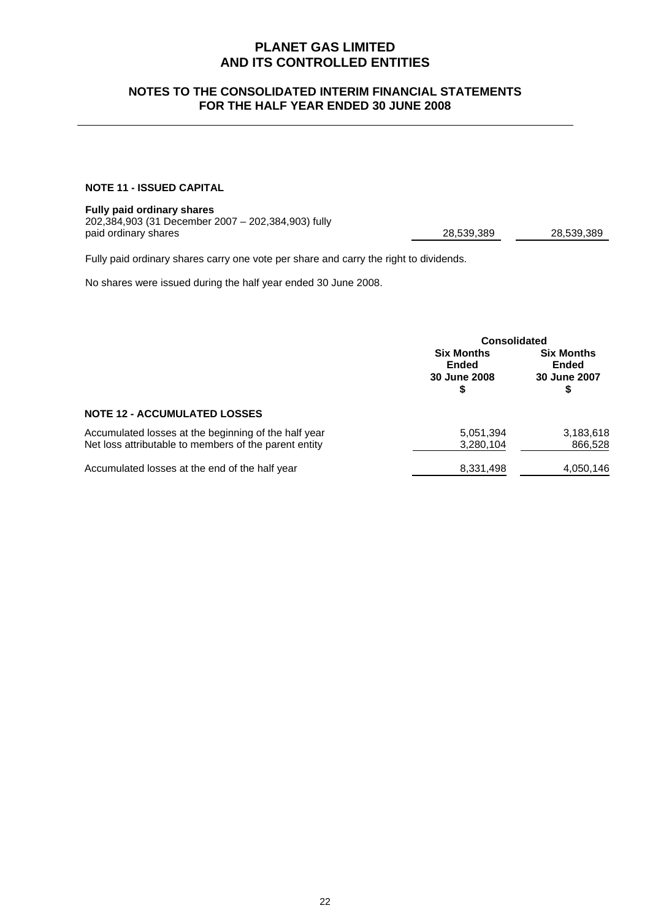## **NOTES TO THE CONSOLIDATED INTERIM FINANCIAL STATEMENTS FOR THE HALF YEAR ENDED 30 JUNE 2008**

### **NOTE 11 - ISSUED CAPITAL**

### **Fully paid ordinary shares**

202,384,903 (31 December 2007 – 202,384,903) fully paid ordinary shares **28,539,389** 

28,539,389

Fully paid ordinary shares carry one vote per share and carry the right to dividends.

No shares were issued during the half year ended 30 June 2008.

|                                                                                                               | <b>Consolidated</b>                                    |                                                   |
|---------------------------------------------------------------------------------------------------------------|--------------------------------------------------------|---------------------------------------------------|
|                                                                                                               | <b>Six Months</b><br><b>Ended</b><br>30 June 2008<br>S | <b>Six Months</b><br><b>Ended</b><br>30 June 2007 |
| <b>NOTE 12 - ACCUMULATED LOSSES</b>                                                                           |                                                        |                                                   |
| Accumulated losses at the beginning of the half year<br>Net loss attributable to members of the parent entity | 5,051,394<br>3,280,104                                 | 3,183,618<br>866,528                              |
| Accumulated losses at the end of the half year                                                                | 8,331,498                                              | 4,050,146                                         |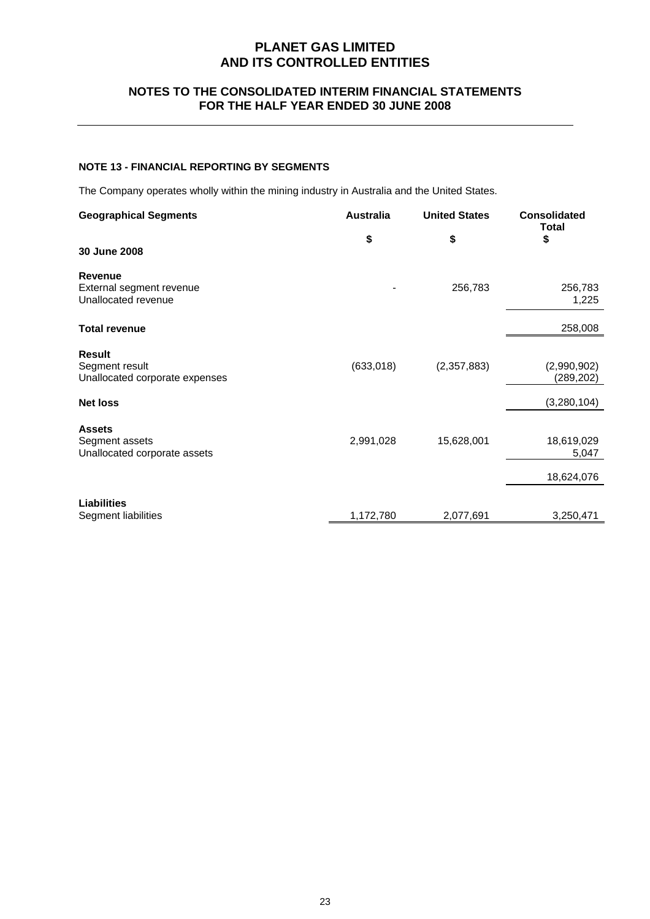## **NOTES TO THE CONSOLIDATED INTERIM FINANCIAL STATEMENTS FOR THE HALF YEAR ENDED 30 JUNE 2008**

### **NOTE 13 - FINANCIAL REPORTING BY SEGMENTS**

The Company operates wholly within the mining industry in Australia and the United States.

| <b>Geographical Segments</b>                                      | <b>Australia</b> | <b>United States</b> | <b>Consolidated</b><br><b>Total</b> |
|-------------------------------------------------------------------|------------------|----------------------|-------------------------------------|
| 30 June 2008                                                      | \$               | \$                   | \$                                  |
| <b>Revenue</b><br>External segment revenue<br>Unallocated revenue |                  | 256,783              | 256,783<br>1,225                    |
| <b>Total revenue</b>                                              |                  |                      | 258,008                             |
| <b>Result</b><br>Segment result<br>Unallocated corporate expenses | (633,018)        | (2,357,883)          | (2,990,902)<br>(289, 202)           |
| <b>Net loss</b>                                                   |                  |                      | (3,280,104)                         |
| <b>Assets</b><br>Segment assets<br>Unallocated corporate assets   | 2,991,028        | 15,628,001           | 18,619,029<br>5,047                 |
|                                                                   |                  |                      | 18,624,076                          |
| <b>Liabilities</b><br>Segment liabilities                         | 1,172,780        | 2,077,691            | 3,250,471                           |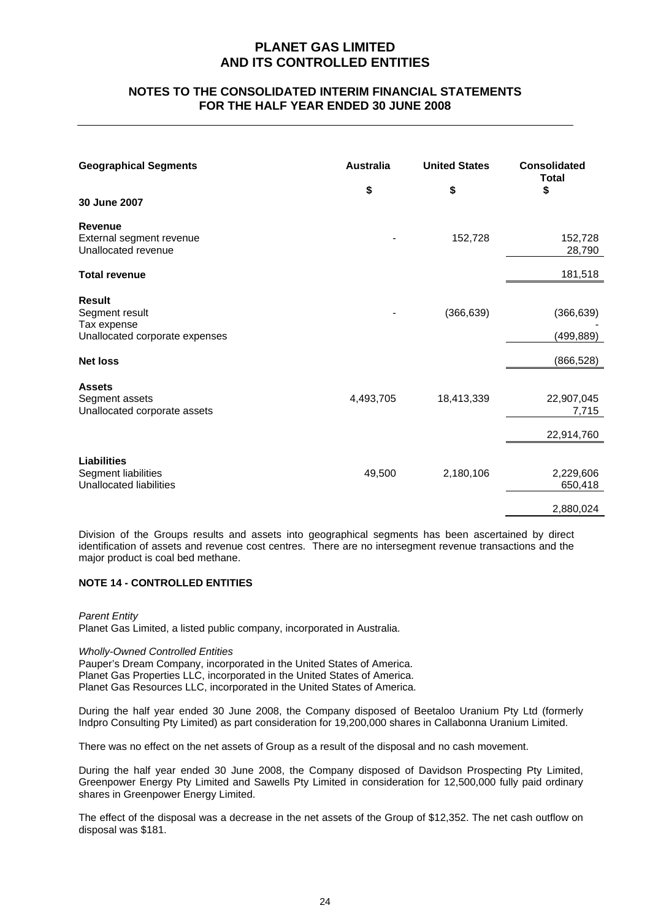### **NOTES TO THE CONSOLIDATED INTERIM FINANCIAL STATEMENTS FOR THE HALF YEAR ENDED 30 JUNE 2008**

| <b>Geographical Segments</b><br>30 June 2007                                     | <b>Australia</b><br>\$ | <b>United States</b><br>\$ | <b>Consolidated</b><br><b>Total</b><br>\$ |
|----------------------------------------------------------------------------------|------------------------|----------------------------|-------------------------------------------|
| <b>Revenue</b><br>External segment revenue<br>Unallocated revenue                |                        | 152,728                    | 152,728<br>28,790                         |
| <b>Total revenue</b>                                                             |                        |                            | 181,518                                   |
| <b>Result</b><br>Segment result<br>Tax expense<br>Unallocated corporate expenses |                        | (366, 639)                 | (366, 639)<br>(499, 889)                  |
| <b>Net loss</b>                                                                  |                        |                            | (866, 528)                                |
| <b>Assets</b><br>Segment assets<br>Unallocated corporate assets                  | 4,493,705              | 18,413,339                 | 22,907,045<br>7,715                       |
|                                                                                  |                        |                            | 22,914,760                                |
| <b>Liabilities</b><br>Segment liabilities<br><b>Unallocated liabilities</b>      | 49,500                 | 2,180,106                  | 2,229,606<br>650,418<br>2,880,024         |

Division of the Groups results and assets into geographical segments has been ascertained by direct identification of assets and revenue cost centres. There are no intersegment revenue transactions and the major product is coal bed methane.

### **NOTE 14 - CONTROLLED ENTITIES**

*Parent Entity*  Planet Gas Limited, a listed public company, incorporated in Australia.

#### *Wholly-Owned Controlled Entities*

Pauper's Dream Company, incorporated in the United States of America. Planet Gas Properties LLC, incorporated in the United States of America. Planet Gas Resources LLC, incorporated in the United States of America.

During the half year ended 30 June 2008, the Company disposed of Beetaloo Uranium Pty Ltd (formerly Indpro Consulting Pty Limited) as part consideration for 19,200,000 shares in Callabonna Uranium Limited.

There was no effect on the net assets of Group as a result of the disposal and no cash movement.

During the half year ended 30 June 2008, the Company disposed of Davidson Prospecting Pty Limited, Greenpower Energy Pty Limited and Sawells Pty Limited in consideration for 12,500,000 fully paid ordinary shares in Greenpower Energy Limited.

The effect of the disposal was a decrease in the net assets of the Group of \$12,352. The net cash outflow on disposal was \$181.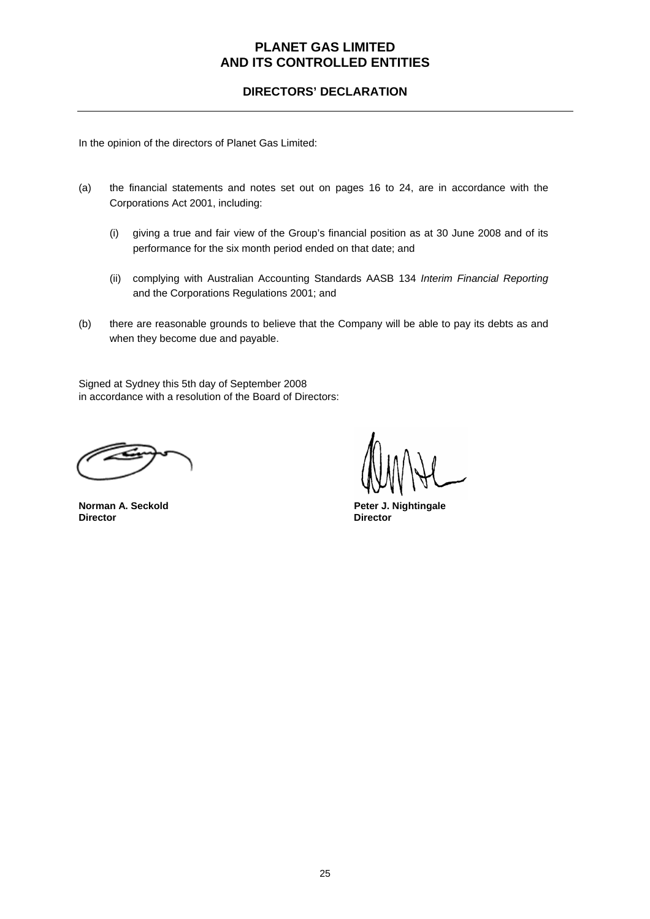## **DIRECTORS' DECLARATION**

In the opinion of the directors of Planet Gas Limited:

- (a) the financial statements and notes set out on pages 16 to 24, are in accordance with the Corporations Act 2001, including:
	- (i) giving a true and fair view of the Group's financial position as at 30 June 2008 and of its performance for the six month period ended on that date; and
	- (ii) complying with Australian Accounting Standards AASB 134 *Interim Financial Reporting* and the Corporations Regulations 2001; and
- (b) there are reasonable grounds to believe that the Company will be able to pay its debts as and when they become due and payable.

Signed at Sydney this 5th day of September 2008 in accordance with a resolution of the Board of Directors:

**Director Director** 

**Norman A. Seckold Peter J. Nightingale Peter J. Nightingale**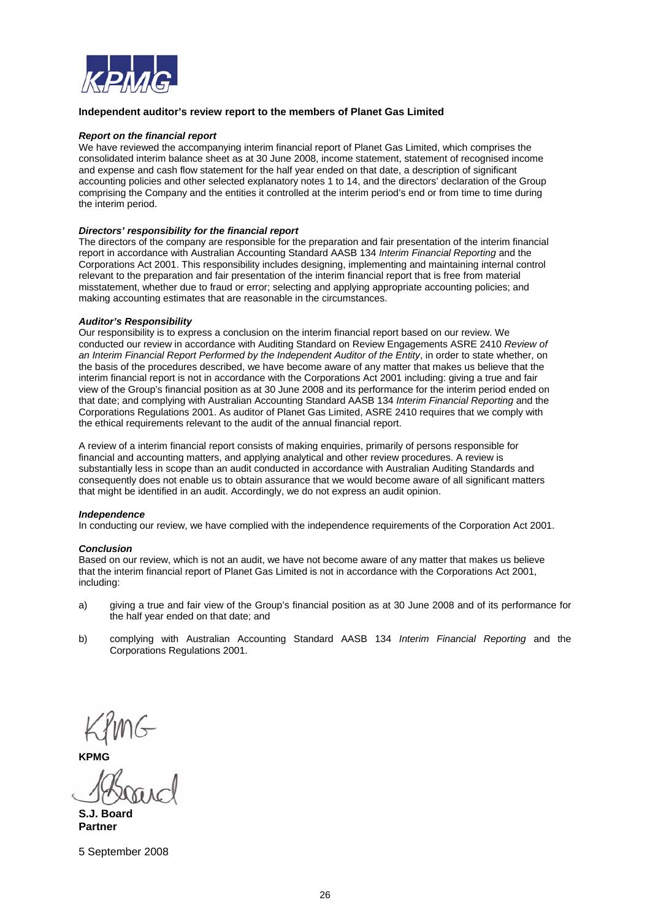

#### **Independent auditor's review report to the members of Planet Gas Limited**

#### *Report on the financial report*

We have reviewed the accompanying interim financial report of Planet Gas Limited, which comprises the consolidated interim balance sheet as at 30 June 2008, income statement, statement of recognised income and expense and cash flow statement for the half year ended on that date, a description of significant accounting policies and other selected explanatory notes 1 to 14, and the directors' declaration of the Group comprising the Company and the entities it controlled at the interim period's end or from time to time during the interim period.

#### *Directors' responsibility for the financial report*

The directors of the company are responsible for the preparation and fair presentation of the interim financial report in accordance with Australian Accounting Standard AASB 134 *Interim Financial Reporting* and the Corporations Act 2001. This responsibility includes designing, implementing and maintaining internal control relevant to the preparation and fair presentation of the interim financial report that is free from material misstatement, whether due to fraud or error; selecting and applying appropriate accounting policies; and making accounting estimates that are reasonable in the circumstances.

#### *Auditor's Responsibility*

Our responsibility is to express a conclusion on the interim financial report based on our review. We conducted our review in accordance with Auditing Standard on Review Engagements ASRE 2410 *Review of an Interim Financial Report Performed by the Independent Auditor of the Entity*, in order to state whether, on the basis of the procedures described, we have become aware of any matter that makes us believe that the interim financial report is not in accordance with the Corporations Act 2001 including: giving a true and fair view of the Group's financial position as at 30 June 2008 and its performance for the interim period ended on that date; and complying with Australian Accounting Standard AASB 134 *Interim Financial Reporting* and the Corporations Regulations 2001. As auditor of Planet Gas Limited, ASRE 2410 requires that we comply with the ethical requirements relevant to the audit of the annual financial report.

A review of a interim financial report consists of making enquiries, primarily of persons responsible for financial and accounting matters, and applying analytical and other review procedures. A review is substantially less in scope than an audit conducted in accordance with Australian Auditing Standards and consequently does not enable us to obtain assurance that we would become aware of all significant matters that might be identified in an audit. Accordingly, we do not express an audit opinion.

#### *Independence*

In conducting our review, we have complied with the independence requirements of the Corporation Act 2001.

#### *Conclusion*

Based on our review, which is not an audit, we have not become aware of any matter that makes us believe that the interim financial report of Planet Gas Limited is not in accordance with the Corporations Act 2001, including:

- a) giving a true and fair view of the Group's financial position as at 30 June 2008 and of its performance for the half year ended on that date; and
- b) complying with Australian Accounting Standard AASB 134 *Interim Financial Reporting* and the Corporations Regulations 2001.

**KJ111**6

**S.J. Board Partner** 

5 September 2008